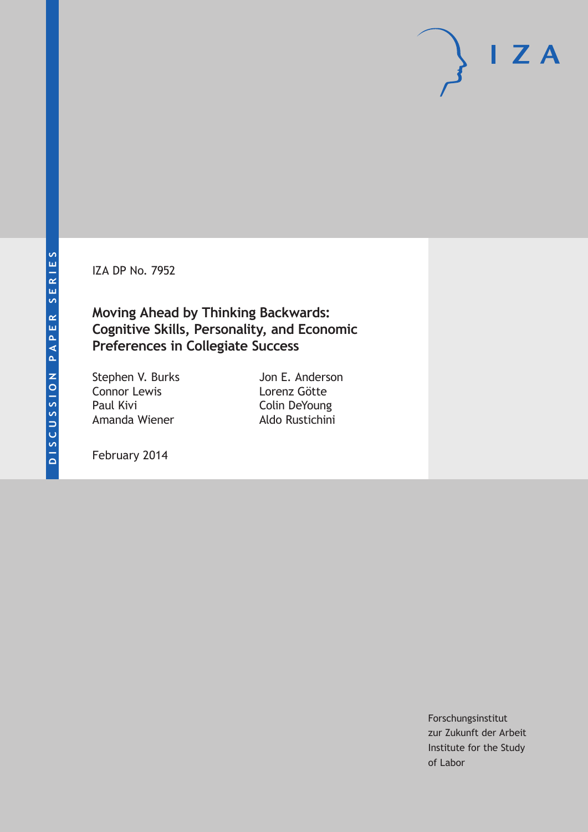IZA DP No. 7952

**Moving Ahead by Thinking Backwards: Cognitive Skills, Personality, and Economic Preferences in Collegiate Success**

Stephen V. Burks Connor Lewis Paul Kivi Amanda Wiener

Jon E. Anderson Lorenz Götte Colin DeYoung Aldo Rustichini

February 2014

Forschungsinstitut zur Zukunft der Arbeit Institute for the Study of Labor

 $I Z A$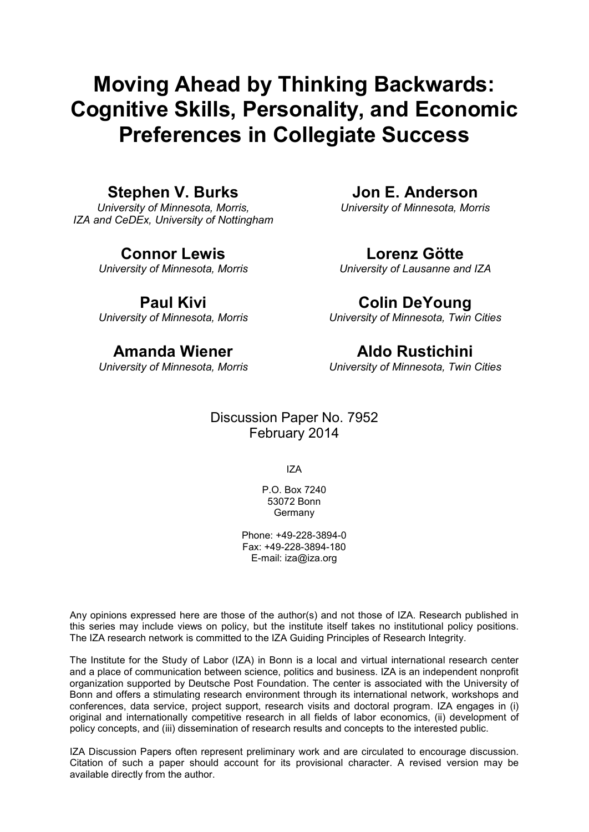# **Moving Ahead by Thinking Backwards: Cognitive Skills, Personality, and Economic Preferences in Collegiate Success**

# **Stephen V. Burks**

*University of Minnesota, Morris, IZA and CeDEx, University of Nottingham*

# **Connor Lewis**

*University of Minnesota, Morris*

# **Paul Kivi**

*University of Minnesota, Morris*

# **Amanda Wiener**

*University of Minnesota, Morris*

**Jon E. Anderson** *University of Minnesota, Morris*

### **Lorenz Götte**

*University of Lausanne and IZA*

# **Colin DeYoung**

*University of Minnesota, Twin Cities*

# **Aldo Rustichini**

*University of Minnesota, Twin Cities*

# Discussion Paper No. 7952 February 2014

IZA

P.O. Box 7240 53072 Bonn **Germany** 

Phone: +49-228-3894-0 Fax: +49-228-3894-180 E-mail: [iza@iza.org](mailto:iza@iza.org)

Any opinions expressed here are those of the author(s) and not those of IZA. Research published in this series may include views on policy, but the institute itself takes no institutional policy positions. The IZA research network is committed to the IZA Guiding Principles of Research Integrity.

The Institute for the Study of Labor (IZA) in Bonn is a local and virtual international research center and a place of communication between science, politics and business. IZA is an independent nonprofit organization supported by Deutsche Post Foundation. The center is associated with the University of Bonn and offers a stimulating research environment through its international network, workshops and conferences, data service, project support, research visits and doctoral program. IZA engages in (i) original and internationally competitive research in all fields of labor economics, (ii) development of policy concepts, and (iii) dissemination of research results and concepts to the interested public.

IZA Discussion Papers often represent preliminary work and are circulated to encourage discussion. Citation of such a paper should account for its provisional character. A revised version may be available directly from the author.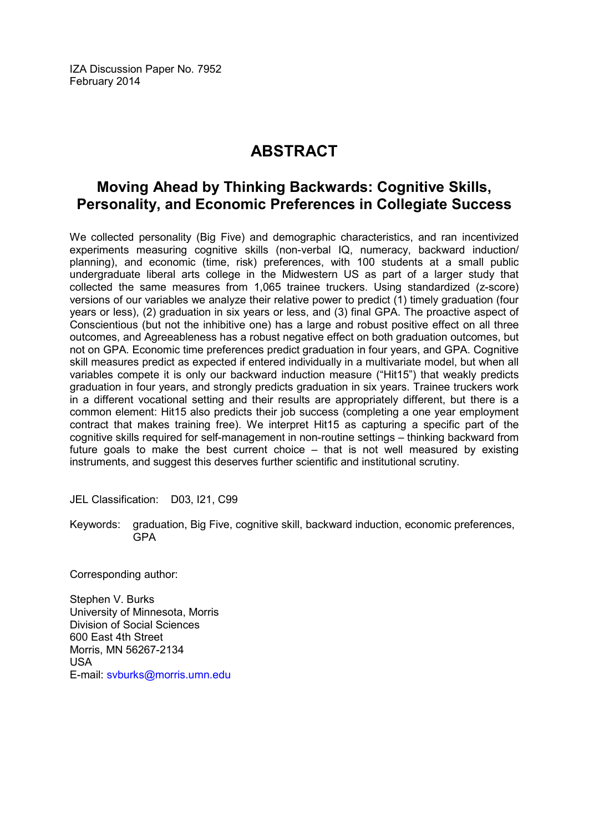IZA Discussion Paper No. 7952 February 2014

# **ABSTRACT**

# **Moving Ahead by Thinking Backwards: Cognitive Skills, Personality, and Economic Preferences in Collegiate Success**

We collected personality (Big Five) and demographic characteristics, and ran incentivized experiments measuring cognitive skills (non-verbal IQ, numeracy, backward induction/ planning), and economic (time, risk) preferences, with 100 students at a small public undergraduate liberal arts college in the Midwestern US as part of a larger study that collected the same measures from 1,065 trainee truckers. Using standardized (z-score) versions of our variables we analyze their relative power to predict (1) timely graduation (four years or less), (2) graduation in six years or less, and (3) final GPA. The proactive aspect of Conscientious (but not the inhibitive one) has a large and robust positive effect on all three outcomes, and Agreeableness has a robust negative effect on both graduation outcomes, but not on GPA. Economic time preferences predict graduation in four years, and GPA. Cognitive skill measures predict as expected if entered individually in a multivariate model, but when all variables compete it is only our backward induction measure ("Hit15") that weakly predicts graduation in four years, and strongly predicts graduation in six years. Trainee truckers work in a different vocational setting and their results are appropriately different, but there is a common element: Hit15 also predicts their job success (completing a one year employment contract that makes training free). We interpret Hit15 as capturing a specific part of the cognitive skills required for self-management in non-routine settings – thinking backward from future goals to make the best current choice – that is not well measured by existing instruments, and suggest this deserves further scientific and institutional scrutiny.

JEL Classification: D03, I21, C99

Keywords: graduation, Big Five, cognitive skill, backward induction, economic preferences, GPA

Corresponding author:

Stephen V. Burks University of Minnesota, Morris Division of Social Sciences 600 East 4th Street Morris, MN 56267-2134 USA E-mail: [svburks@morris.umn.edu](mailto:svburks@morris.umn.edu)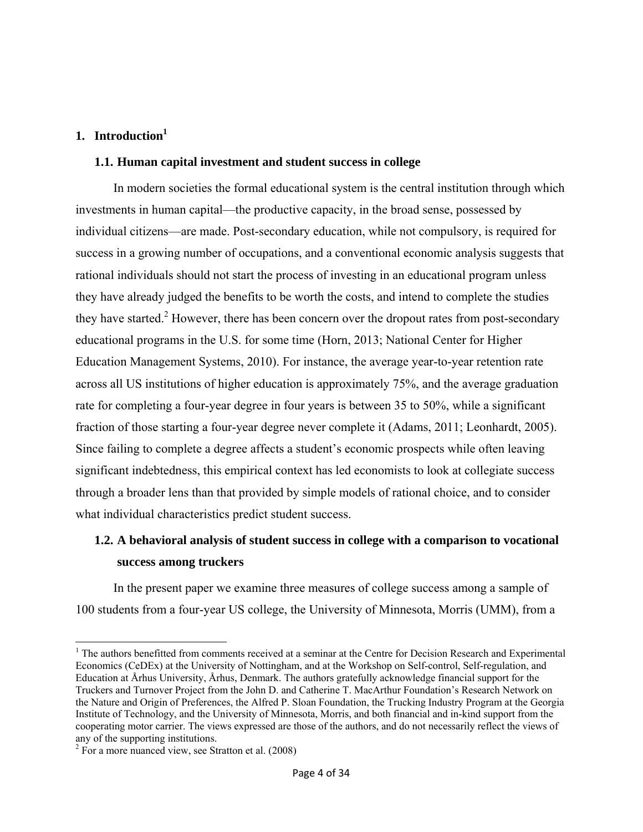### **1. Introduction1**

### **1.1. Human capital investment and student success in college**

In modern societies the formal educational system is the central institution through which investments in human capital—the productive capacity, in the broad sense, possessed by individual citizens—are made. Post-secondary education, while not compulsory, is required for success in a growing number of occupations, and a conventional economic analysis suggests that rational individuals should not start the process of investing in an educational program unless they have already judged the benefits to be worth the costs, and intend to complete the studies they have started.<sup>2</sup> However, there has been concern over the dropout rates from post-secondary educational programs in the U.S. for some time (Horn, 2013; National Center for Higher Education Management Systems, 2010). For instance, the average year-to-year retention rate across all US institutions of higher education is approximately 75%, and the average graduation rate for completing a four-year degree in four years is between 35 to 50%, while a significant fraction of those starting a four-year degree never complete it (Adams, 2011; Leonhardt, 2005). Since failing to complete a degree affects a student's economic prospects while often leaving significant indebtedness, this empirical context has led economists to look at collegiate success through a broader lens than that provided by simple models of rational choice, and to consider what individual characteristics predict student success.

# **1.2. A behavioral analysis of student success in college with a comparison to vocational success among truckers**

In the present paper we examine three measures of college success among a sample of 100 students from a four-year US college, the University of Minnesota, Morris (UMM), from a

 <sup>1</sup> The authors benefitted from comments received at a seminar at the Centre for Decision Research and Experimental Economics (CeDEx) at the University of Nottingham, and at the Workshop on Self-control, Self-regulation, and Education at Århus University, Århus, Denmark. The authors gratefully acknowledge financial support for the Truckers and Turnover Project from the John D. and Catherine T. MacArthur Foundation's Research Network on the Nature and Origin of Preferences, the Alfred P. Sloan Foundation, the Trucking Industry Program at the Georgia Institute of Technology, and the University of Minnesota, Morris, and both financial and in-kind support from the cooperating motor carrier. The views expressed are those of the authors, and do not necessarily reflect the views of any of the supporting institutions.

<sup>&</sup>lt;sup>2</sup> For a more nuanced view, see Stratton et al. (2008)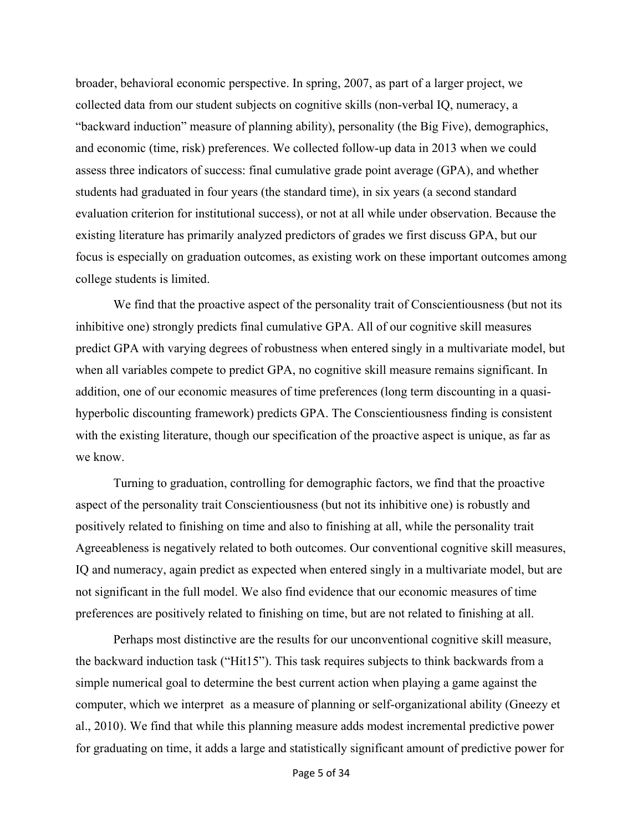broader, behavioral economic perspective. In spring, 2007, as part of a larger project, we collected data from our student subjects on cognitive skills (non-verbal IQ, numeracy, a "backward induction" measure of planning ability), personality (the Big Five), demographics, and economic (time, risk) preferences. We collected follow-up data in 2013 when we could assess three indicators of success: final cumulative grade point average (GPA), and whether students had graduated in four years (the standard time), in six years (a second standard evaluation criterion for institutional success), or not at all while under observation. Because the existing literature has primarily analyzed predictors of grades we first discuss GPA, but our focus is especially on graduation outcomes, as existing work on these important outcomes among college students is limited.

We find that the proactive aspect of the personality trait of Conscientiousness (but not its inhibitive one) strongly predicts final cumulative GPA. All of our cognitive skill measures predict GPA with varying degrees of robustness when entered singly in a multivariate model, but when all variables compete to predict GPA, no cognitive skill measure remains significant. In addition, one of our economic measures of time preferences (long term discounting in a quasihyperbolic discounting framework) predicts GPA. The Conscientiousness finding is consistent with the existing literature, though our specification of the proactive aspect is unique, as far as we know.

Turning to graduation, controlling for demographic factors, we find that the proactive aspect of the personality trait Conscientiousness (but not its inhibitive one) is robustly and positively related to finishing on time and also to finishing at all, while the personality trait Agreeableness is negatively related to both outcomes. Our conventional cognitive skill measures, IQ and numeracy, again predict as expected when entered singly in a multivariate model, but are not significant in the full model. We also find evidence that our economic measures of time preferences are positively related to finishing on time, but are not related to finishing at all.

Perhaps most distinctive are the results for our unconventional cognitive skill measure, the backward induction task ("Hit15"). This task requires subjects to think backwards from a simple numerical goal to determine the best current action when playing a game against the computer, which we interpret as a measure of planning or self-organizational ability (Gneezy et al., 2010). We find that while this planning measure adds modest incremental predictive power for graduating on time, it adds a large and statistically significant amount of predictive power for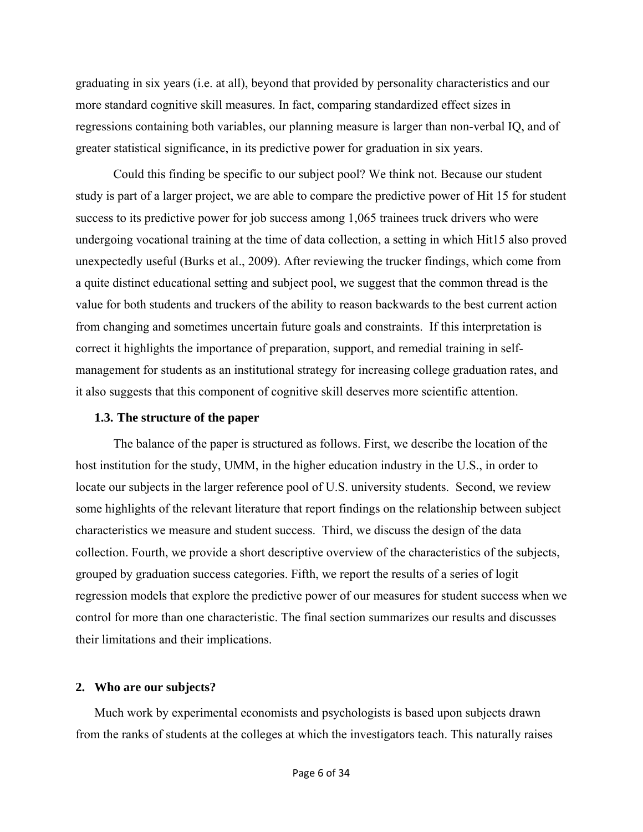graduating in six years (i.e. at all), beyond that provided by personality characteristics and our more standard cognitive skill measures. In fact, comparing standardized effect sizes in regressions containing both variables, our planning measure is larger than non-verbal IQ, and of greater statistical significance, in its predictive power for graduation in six years.

Could this finding be specific to our subject pool? We think not. Because our student study is part of a larger project, we are able to compare the predictive power of Hit 15 for student success to its predictive power for job success among 1,065 trainees truck drivers who were undergoing vocational training at the time of data collection, a setting in which Hit15 also proved unexpectedly useful (Burks et al., 2009). After reviewing the trucker findings, which come from a quite distinct educational setting and subject pool, we suggest that the common thread is the value for both students and truckers of the ability to reason backwards to the best current action from changing and sometimes uncertain future goals and constraints. If this interpretation is correct it highlights the importance of preparation, support, and remedial training in selfmanagement for students as an institutional strategy for increasing college graduation rates, and it also suggests that this component of cognitive skill deserves more scientific attention.

#### **1.3. The structure of the paper**

 The balance of the paper is structured as follows. First, we describe the location of the host institution for the study, UMM, in the higher education industry in the U.S., in order to locate our subjects in the larger reference pool of U.S. university students. Second, we review some highlights of the relevant literature that report findings on the relationship between subject characteristics we measure and student success. Third, we discuss the design of the data collection. Fourth, we provide a short descriptive overview of the characteristics of the subjects, grouped by graduation success categories. Fifth, we report the results of a series of logit regression models that explore the predictive power of our measures for student success when we control for more than one characteristic. The final section summarizes our results and discusses their limitations and their implications.

#### **2. Who are our subjects?**

Much work by experimental economists and psychologists is based upon subjects drawn from the ranks of students at the colleges at which the investigators teach. This naturally raises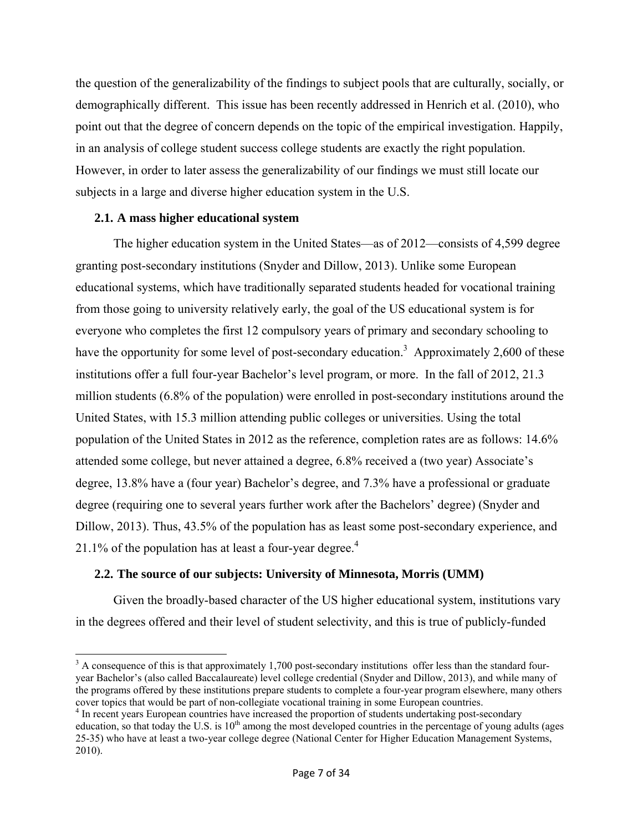the question of the generalizability of the findings to subject pools that are culturally, socially, or demographically different. This issue has been recently addressed in Henrich et al. (2010), who point out that the degree of concern depends on the topic of the empirical investigation. Happily, in an analysis of college student success college students are exactly the right population. However, in order to later assess the generalizability of our findings we must still locate our subjects in a large and diverse higher education system in the U.S.

### **2.1. A mass higher educational system**

 The higher education system in the United States—as of 2012—consists of 4,599 degree granting post-secondary institutions (Snyder and Dillow, 2013). Unlike some European educational systems, which have traditionally separated students headed for vocational training from those going to university relatively early, the goal of the US educational system is for everyone who completes the first 12 compulsory years of primary and secondary schooling to have the opportunity for some level of post-secondary education.<sup>3</sup> Approximately 2,600 of these institutions offer a full four-year Bachelor's level program, or more. In the fall of 2012, 21.3 million students (6.8% of the population) were enrolled in post-secondary institutions around the United States, with 15.3 million attending public colleges or universities. Using the total population of the United States in 2012 as the reference, completion rates are as follows: 14.6% attended some college, but never attained a degree, 6.8% received a (two year) Associate's degree, 13.8% have a (four year) Bachelor's degree, and 7.3% have a professional or graduate degree (requiring one to several years further work after the Bachelors' degree) (Snyder and Dillow, 2013). Thus, 43.5% of the population has as least some post-secondary experience, and 21.1% of the population has at least a four-year degree. $4$ 

### **2.2. The source of our subjects: University of Minnesota, Morris (UMM)**

 Given the broadly-based character of the US higher educational system, institutions vary in the degrees offered and their level of student selectivity, and this is true of publicly-funded

 $3 \text{ A}$  consequence of this is that approximately 1,700 post-secondary institutions offer less than the standard fouryear Bachelor's (also called Baccalaureate) level college credential (Snyder and Dillow, 2013), and while many of the programs offered by these institutions prepare students to complete a four-year program elsewhere, many others cover topics that would be part of non-collegiate vocational training in some European countries.

<sup>&</sup>lt;sup>4</sup> In recent years European countries have increased the proportion of students undertaking post-secondary education, so that today the U.S. is  $10<sup>th</sup>$  among the most developed countries in the percentage of young adults (ages 25-35) who have at least a two-year college degree (National Center for Higher Education Management Systems, 2010).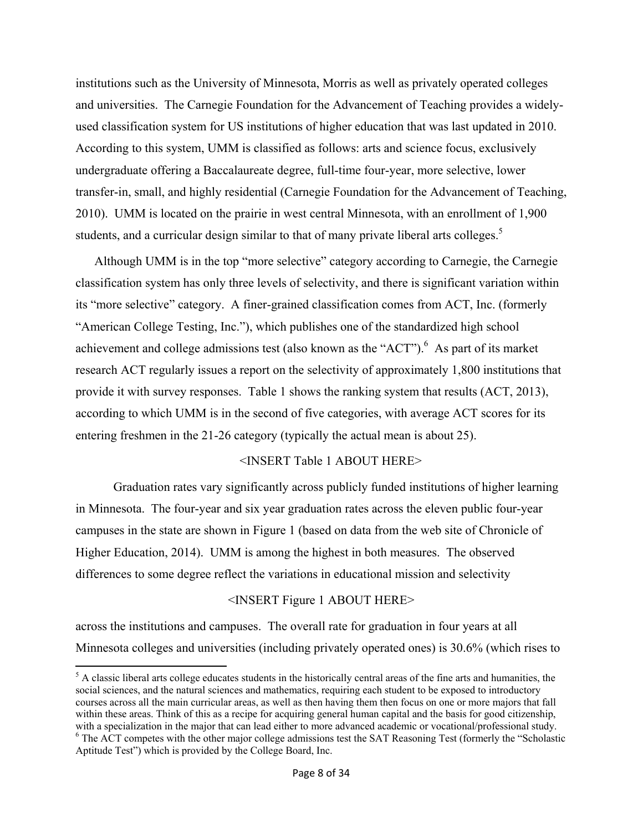institutions such as the University of Minnesota, Morris as well as privately operated colleges and universities. The Carnegie Foundation for the Advancement of Teaching provides a widelyused classification system for US institutions of higher education that was last updated in 2010. According to this system, UMM is classified as follows: arts and science focus, exclusively undergraduate offering a Baccalaureate degree, full-time four-year, more selective, lower transfer-in, small, and highly residential (Carnegie Foundation for the Advancement of Teaching, 2010). UMM is located on the prairie in west central Minnesota, with an enrollment of 1,900 students, and a curricular design similar to that of many private liberal arts colleges.<sup>5</sup>

Although UMM is in the top "more selective" category according to Carnegie, the Carnegie classification system has only three levels of selectivity, and there is significant variation within its "more selective" category. A finer-grained classification comes from ACT, Inc. (formerly "American College Testing, Inc."), which publishes one of the standardized high school achievement and college admissions test (also known as the "ACT"). <sup>6</sup> As part of its market research ACT regularly issues a report on the selectivity of approximately 1,800 institutions that provide it with survey responses. Table 1 shows the ranking system that results (ACT, 2013), according to which UMM is in the second of five categories, with average ACT scores for its entering freshmen in the 21-26 category (typically the actual mean is about 25).

#### <INSERT Table 1 ABOUT HERE>

 Graduation rates vary significantly across publicly funded institutions of higher learning in Minnesota. The four-year and six year graduation rates across the eleven public four-year campuses in the state are shown in Figure 1 (based on data from the web site of Chronicle of Higher Education, 2014). UMM is among the highest in both measures. The observed differences to some degree reflect the variations in educational mission and selectivity

#### <INSERT Figure 1 ABOUT HERE>

across the institutions and campuses. The overall rate for graduation in four years at all Minnesota colleges and universities (including privately operated ones) is 30.6% (which rises to

  $<sup>5</sup>$  A classic liberal arts college educates students in the historically central areas of the fine arts and humanities, the</sup> social sciences, and the natural sciences and mathematics, requiring each student to be exposed to introductory courses across all the main curricular areas, as well as then having them then focus on one or more majors that fall within these areas. Think of this as a recipe for acquiring general human capital and the basis for good citizenship, with a specialization in the major that can lead either to more advanced academic or vocational/professional study. <sup>6</sup> The ACT competes with the other major college admissions test the SAT Reasoning Test (formerly the "Scholastic Aptitude Test") which is provided by the College Board, Inc.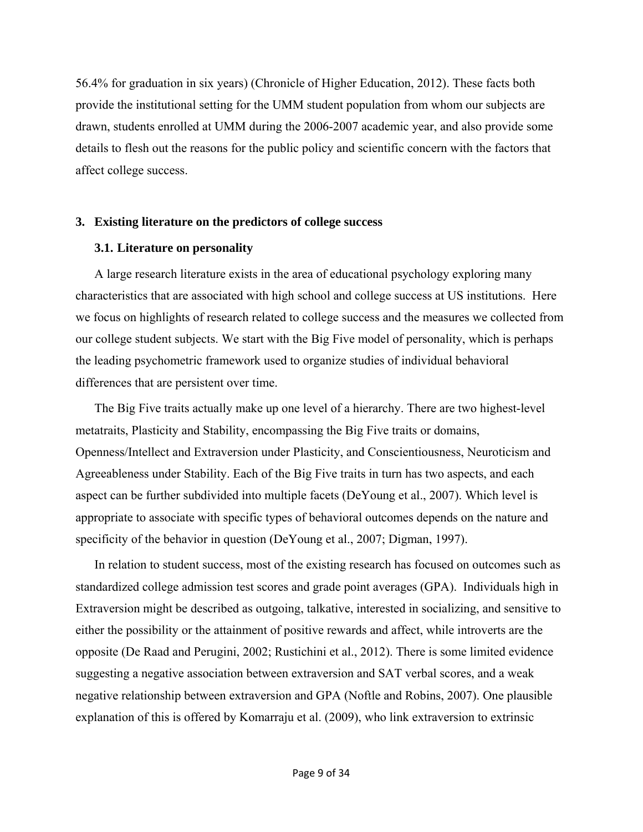56.4% for graduation in six years) (Chronicle of Higher Education, 2012). These facts both provide the institutional setting for the UMM student population from whom our subjects are drawn, students enrolled at UMM during the 2006-2007 academic year, and also provide some details to flesh out the reasons for the public policy and scientific concern with the factors that affect college success.

#### **3. Existing literature on the predictors of college success**

#### **3.1. Literature on personality**

A large research literature exists in the area of educational psychology exploring many characteristics that are associated with high school and college success at US institutions. Here we focus on highlights of research related to college success and the measures we collected from our college student subjects. We start with the Big Five model of personality, which is perhaps the leading psychometric framework used to organize studies of individual behavioral differences that are persistent over time.

The Big Five traits actually make up one level of a hierarchy. There are two highest-level metatraits, Plasticity and Stability, encompassing the Big Five traits or domains, Openness/Intellect and Extraversion under Plasticity, and Conscientiousness, Neuroticism and Agreeableness under Stability. Each of the Big Five traits in turn has two aspects, and each aspect can be further subdivided into multiple facets (DeYoung et al., 2007). Which level is appropriate to associate with specific types of behavioral outcomes depends on the nature and specificity of the behavior in question (DeYoung et al., 2007; Digman, 1997).

In relation to student success, most of the existing research has focused on outcomes such as standardized college admission test scores and grade point averages (GPA). Individuals high in Extraversion might be described as outgoing, talkative, interested in socializing, and sensitive to either the possibility or the attainment of positive rewards and affect, while introverts are the opposite (De Raad and Perugini, 2002; Rustichini et al., 2012). There is some limited evidence suggesting a negative association between extraversion and SAT verbal scores, and a weak negative relationship between extraversion and GPA (Noftle and Robins, 2007). One plausible explanation of this is offered by Komarraju et al. (2009), who link extraversion to extrinsic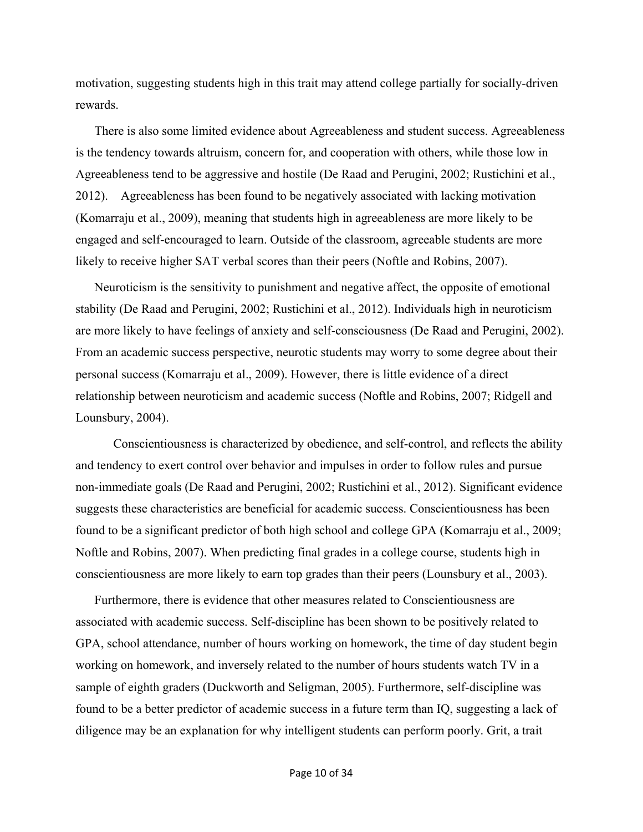motivation, suggesting students high in this trait may attend college partially for socially-driven rewards.

There is also some limited evidence about Agreeableness and student success. Agreeableness is the tendency towards altruism, concern for, and cooperation with others, while those low in Agreeableness tend to be aggressive and hostile (De Raad and Perugini, 2002; Rustichini et al., 2012). Agreeableness has been found to be negatively associated with lacking motivation (Komarraju et al., 2009), meaning that students high in agreeableness are more likely to be engaged and self-encouraged to learn. Outside of the classroom, agreeable students are more likely to receive higher SAT verbal scores than their peers (Noftle and Robins, 2007).

Neuroticism is the sensitivity to punishment and negative affect, the opposite of emotional stability (De Raad and Perugini, 2002; Rustichini et al., 2012). Individuals high in neuroticism are more likely to have feelings of anxiety and self-consciousness (De Raad and Perugini, 2002). From an academic success perspective, neurotic students may worry to some degree about their personal success (Komarraju et al., 2009). However, there is little evidence of a direct relationship between neuroticism and academic success (Noftle and Robins, 2007; Ridgell and Lounsbury, 2004).

 Conscientiousness is characterized by obedience, and self-control, and reflects the ability and tendency to exert control over behavior and impulses in order to follow rules and pursue non-immediate goals (De Raad and Perugini, 2002; Rustichini et al., 2012). Significant evidence suggests these characteristics are beneficial for academic success. Conscientiousness has been found to be a significant predictor of both high school and college GPA (Komarraju et al., 2009; Noftle and Robins, 2007). When predicting final grades in a college course, students high in conscientiousness are more likely to earn top grades than their peers (Lounsbury et al., 2003).

Furthermore, there is evidence that other measures related to Conscientiousness are associated with academic success. Self-discipline has been shown to be positively related to GPA, school attendance, number of hours working on homework, the time of day student begin working on homework, and inversely related to the number of hours students watch TV in a sample of eighth graders (Duckworth and Seligman, 2005). Furthermore, self-discipline was found to be a better predictor of academic success in a future term than IQ, suggesting a lack of diligence may be an explanation for why intelligent students can perform poorly. Grit, a trait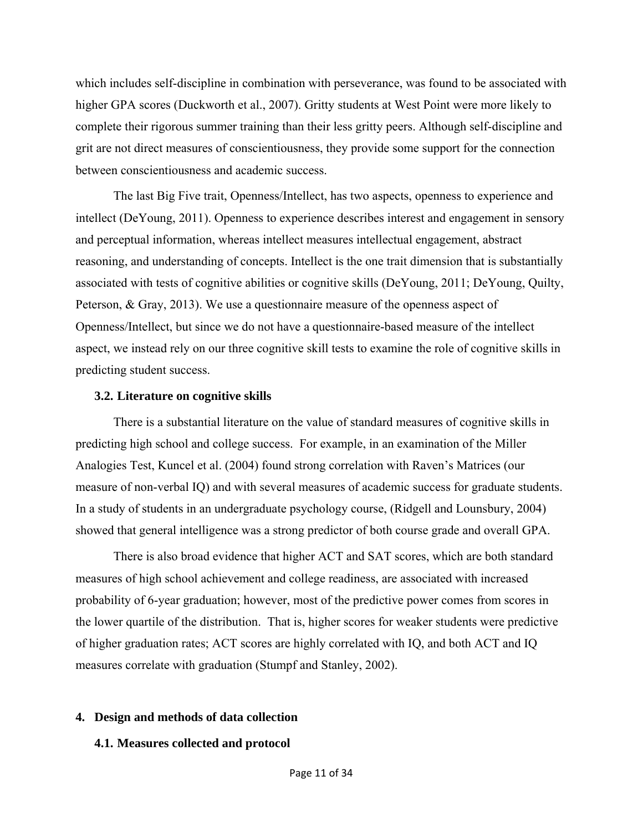which includes self-discipline in combination with perseverance, was found to be associated with higher GPA scores (Duckworth et al., 2007). Gritty students at West Point were more likely to complete their rigorous summer training than their less gritty peers. Although self-discipline and grit are not direct measures of conscientiousness, they provide some support for the connection between conscientiousness and academic success.

 The last Big Five trait, Openness/Intellect, has two aspects, openness to experience and intellect (DeYoung, 2011). Openness to experience describes interest and engagement in sensory and perceptual information, whereas intellect measures intellectual engagement, abstract reasoning, and understanding of concepts. Intellect is the one trait dimension that is substantially associated with tests of cognitive abilities or cognitive skills (DeYoung, 2011; DeYoung, Quilty, Peterson, & Gray, 2013). We use a questionnaire measure of the openness aspect of Openness/Intellect, but since we do not have a questionnaire-based measure of the intellect aspect, we instead rely on our three cognitive skill tests to examine the role of cognitive skills in predicting student success.

#### **3.2. Literature on cognitive skills**

 There is a substantial literature on the value of standard measures of cognitive skills in predicting high school and college success. For example, in an examination of the Miller Analogies Test, Kuncel et al. (2004) found strong correlation with Raven's Matrices (our measure of non-verbal IQ) and with several measures of academic success for graduate students. In a study of students in an undergraduate psychology course, (Ridgell and Lounsbury, 2004) showed that general intelligence was a strong predictor of both course grade and overall GPA.

 There is also broad evidence that higher ACT and SAT scores, which are both standard measures of high school achievement and college readiness, are associated with increased probability of 6-year graduation; however, most of the predictive power comes from scores in the lower quartile of the distribution. That is, higher scores for weaker students were predictive of higher graduation rates; ACT scores are highly correlated with IQ, and both ACT and IQ measures correlate with graduation (Stumpf and Stanley, 2002).

#### **4. Design and methods of data collection**

#### **4.1. Measures collected and protocol**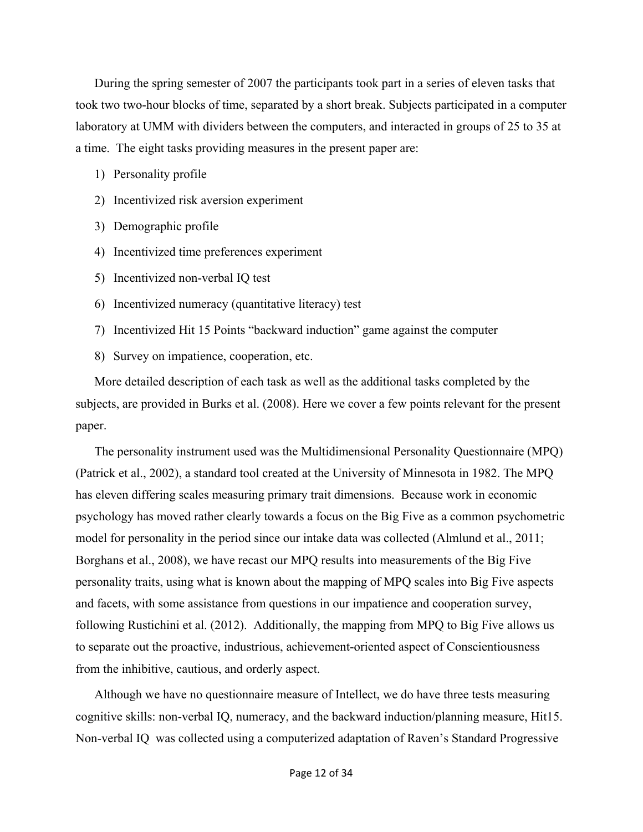During the spring semester of 2007 the participants took part in a series of eleven tasks that took two two-hour blocks of time, separated by a short break. Subjects participated in a computer laboratory at UMM with dividers between the computers, and interacted in groups of 25 to 35 at a time. The eight tasks providing measures in the present paper are:

- 1) Personality profile
- 2) Incentivized risk aversion experiment
- 3) Demographic profile
- 4) Incentivized time preferences experiment
- 5) Incentivized non-verbal IQ test
- 6) Incentivized numeracy (quantitative literacy) test
- 7) Incentivized Hit 15 Points "backward induction" game against the computer
- 8) Survey on impatience, cooperation, etc.

More detailed description of each task as well as the additional tasks completed by the subjects, are provided in Burks et al. (2008). Here we cover a few points relevant for the present paper.

The personality instrument used was the Multidimensional Personality Questionnaire (MPQ) (Patrick et al., 2002), a standard tool created at the University of Minnesota in 1982. The MPQ has eleven differing scales measuring primary trait dimensions. Because work in economic psychology has moved rather clearly towards a focus on the Big Five as a common psychometric model for personality in the period since our intake data was collected (Almlund et al., 2011; Borghans et al., 2008), we have recast our MPQ results into measurements of the Big Five personality traits, using what is known about the mapping of MPQ scales into Big Five aspects and facets, with some assistance from questions in our impatience and cooperation survey, following Rustichini et al. (2012). Additionally, the mapping from MPQ to Big Five allows us to separate out the proactive, industrious, achievement-oriented aspect of Conscientiousness from the inhibitive, cautious, and orderly aspect.

Although we have no questionnaire measure of Intellect, we do have three tests measuring cognitive skills: non-verbal IQ, numeracy, and the backward induction/planning measure, Hit15. Non-verbal IQ was collected using a computerized adaptation of Raven's Standard Progressive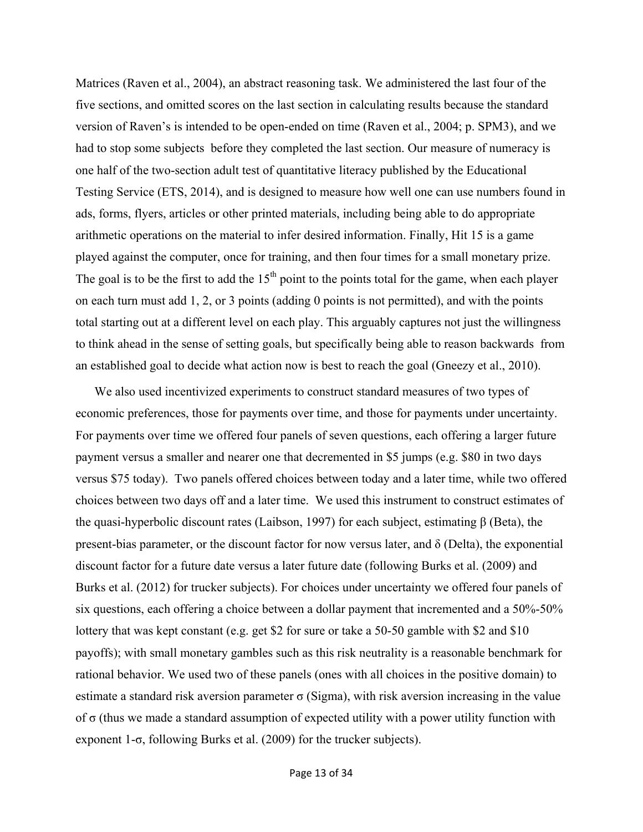Matrices (Raven et al., 2004), an abstract reasoning task. We administered the last four of the five sections, and omitted scores on the last section in calculating results because the standard version of Raven's is intended to be open-ended on time (Raven et al., 2004; p. SPM3), and we had to stop some subjects before they completed the last section. Our measure of numeracy is one half of the two-section adult test of quantitative literacy published by the Educational Testing Service (ETS, 2014), and is designed to measure how well one can use numbers found in ads, forms, flyers, articles or other printed materials, including being able to do appropriate arithmetic operations on the material to infer desired information. Finally, Hit 15 is a game played against the computer, once for training, and then four times for a small monetary prize. The goal is to be the first to add the  $15<sup>th</sup>$  point to the points total for the game, when each player on each turn must add 1, 2, or 3 points (adding 0 points is not permitted), and with the points total starting out at a different level on each play. This arguably captures not just the willingness to think ahead in the sense of setting goals, but specifically being able to reason backwards from an established goal to decide what action now is best to reach the goal (Gneezy et al., 2010).

We also used incentivized experiments to construct standard measures of two types of economic preferences, those for payments over time, and those for payments under uncertainty. For payments over time we offered four panels of seven questions, each offering a larger future payment versus a smaller and nearer one that decremented in \$5 jumps (e.g. \$80 in two days versus \$75 today). Two panels offered choices between today and a later time, while two offered choices between two days off and a later time. We used this instrument to construct estimates of the quasi-hyperbolic discount rates (Laibson, 1997) for each subject, estimating β (Beta), the present-bias parameter, or the discount factor for now versus later, and  $\delta$  (Delta), the exponential discount factor for a future date versus a later future date (following Burks et al. (2009) and Burks et al. (2012) for trucker subjects). For choices under uncertainty we offered four panels of six questions, each offering a choice between a dollar payment that incremented and a 50%-50% lottery that was kept constant (e.g. get \$2 for sure or take a 50-50 gamble with \$2 and \$10 payoffs); with small monetary gambles such as this risk neutrality is a reasonable benchmark for rational behavior. We used two of these panels (ones with all choices in the positive domain) to estimate a standard risk aversion parameter  $\sigma$  (Sigma), with risk aversion increasing in the value of σ (thus we made a standard assumption of expected utility with a power utility function with exponent 1-σ, following Burks et al. (2009) for the trucker subjects).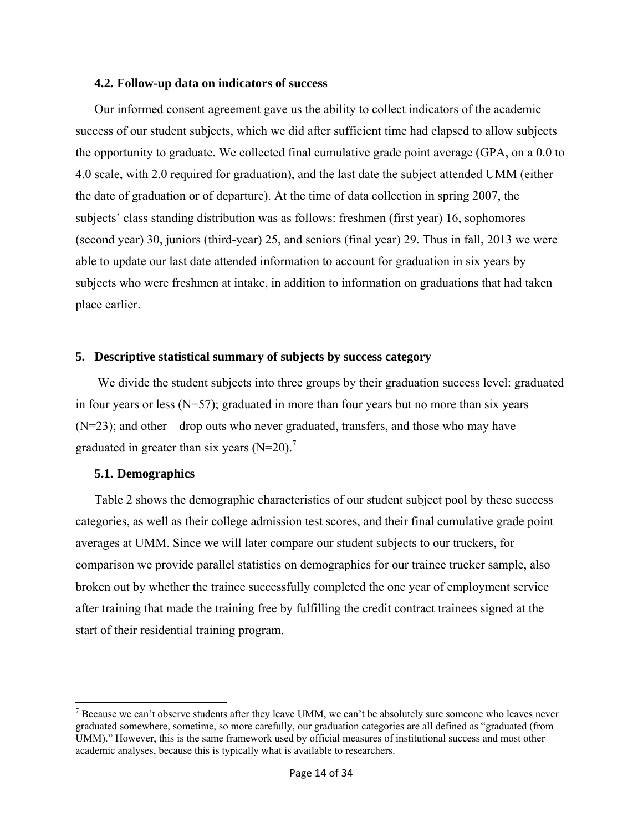#### **4.2. Follow-up data on indicators of success**

Our informed consent agreement gave us the ability to collect indicators of the academic success of our student subjects, which we did after sufficient time had elapsed to allow subjects the opportunity to graduate. We collected final cumulative grade point average (GPA, on a 0.0 to 4.0 scale, with 2.0 required for graduation), and the last date the subject attended UMM (either the date of graduation or of departure). At the time of data collection in spring 2007, the subjects' class standing distribution was as follows: freshmen (first year) 16, sophomores (second year) 30, juniors (third-year) 25, and seniors (final year) 29. Thus in fall, 2013 we were able to update our last date attended information to account for graduation in six years by subjects who were freshmen at intake, in addition to information on graduations that had taken place earlier.

#### **5. Descriptive statistical summary of subjects by success category**

We divide the student subjects into three groups by their graduation success level: graduated in four years or less  $(N=57)$ ; graduated in more than four years but no more than six years (N=23); and other—drop outs who never graduated, transfers, and those who may have graduated in greater than six years  $(N=20)$ .<sup>7</sup>

#### **5.1. Demographics**

Table 2 shows the demographic characteristics of our student subject pool by these success categories, as well as their college admission test scores, and their final cumulative grade point averages at UMM. Since we will later compare our student subjects to our truckers, for comparison we provide parallel statistics on demographics for our trainee trucker sample, also broken out by whether the trainee successfully completed the one year of employment service after training that made the training free by fulfilling the credit contract trainees signed at the start of their residential training program.

<sup>&</sup>lt;sup>7</sup> Because we can't observe students after they leave UMM, we can't be absolutely sure someone who leaves never graduated somewhere, sometime, so more carefully, our graduation categories are all defined as "graduated (from UMM)." However, this is the same framework used by official measures of institutional success and most other academic analyses, because this is typically what is available to researchers.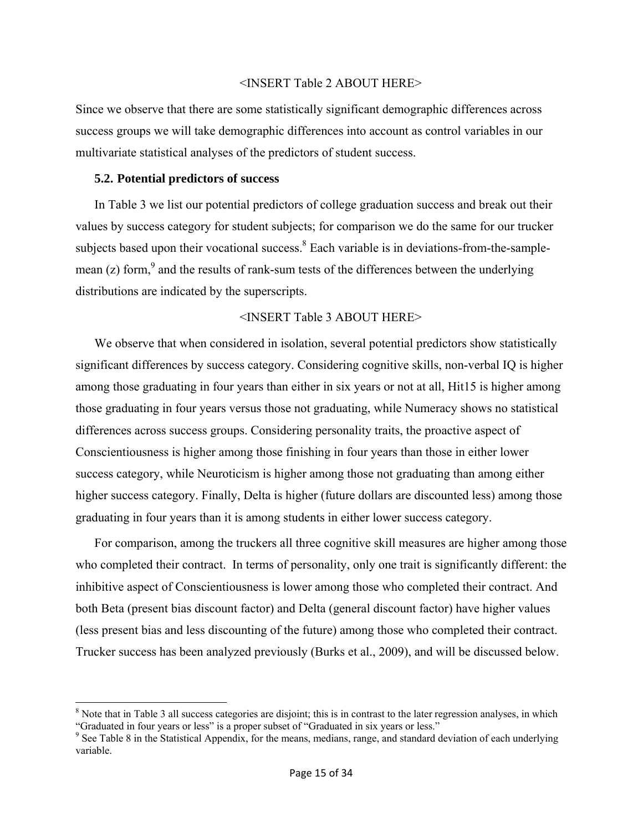#### <INSERT Table 2 ABOUT HERE>

Since we observe that there are some statistically significant demographic differences across success groups we will take demographic differences into account as control variables in our multivariate statistical analyses of the predictors of student success.

#### **5.2. Potential predictors of success**

In Table 3 we list our potential predictors of college graduation success and break out their values by success category for student subjects; for comparison we do the same for our trucker subjects based upon their vocational success. $8$  Each variable is in deviations-from-the-samplemean (z) form,  $9^9$  and the results of rank-sum tests of the differences between the underlying distributions are indicated by the superscripts.

#### <INSERT Table 3 ABOUT HERE>

We observe that when considered in isolation, several potential predictors show statistically significant differences by success category. Considering cognitive skills, non-verbal IQ is higher among those graduating in four years than either in six years or not at all, Hit15 is higher among those graduating in four years versus those not graduating, while Numeracy shows no statistical differences across success groups. Considering personality traits, the proactive aspect of Conscientiousness is higher among those finishing in four years than those in either lower success category, while Neuroticism is higher among those not graduating than among either higher success category. Finally, Delta is higher (future dollars are discounted less) among those graduating in four years than it is among students in either lower success category.

For comparison, among the truckers all three cognitive skill measures are higher among those who completed their contract. In terms of personality, only one trait is significantly different: the inhibitive aspect of Conscientiousness is lower among those who completed their contract. And both Beta (present bias discount factor) and Delta (general discount factor) have higher values (less present bias and less discounting of the future) among those who completed their contract. Trucker success has been analyzed previously (Burks et al., 2009), and will be discussed below.

 $8$  Note that in Table 3 all success categories are disjoint; this is in contrast to the later regression analyses, in which "Graduated in four years or less" is a proper subset of "Graduated in six years or less." 9

<sup>&</sup>lt;sup>9</sup> See Table 8 in the Statistical Appendix, for the means, medians, range, and standard deviation of each underlying variable.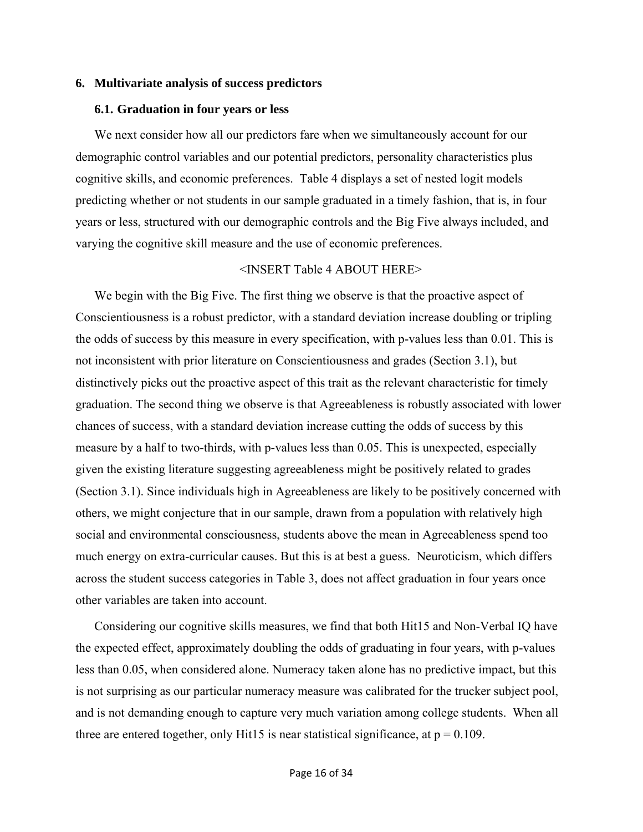#### **6. Multivariate analysis of success predictors**

#### **6.1. Graduation in four years or less**

We next consider how all our predictors fare when we simultaneously account for our demographic control variables and our potential predictors, personality characteristics plus cognitive skills, and economic preferences. Table 4 displays a set of nested logit models predicting whether or not students in our sample graduated in a timely fashion, that is, in four years or less, structured with our demographic controls and the Big Five always included, and varying the cognitive skill measure and the use of economic preferences.

#### <INSERT Table 4 ABOUT HERE>

We begin with the Big Five. The first thing we observe is that the proactive aspect of Conscientiousness is a robust predictor, with a standard deviation increase doubling or tripling the odds of success by this measure in every specification, with p-values less than 0.01. This is not inconsistent with prior literature on Conscientiousness and grades (Section 3.1), but distinctively picks out the proactive aspect of this trait as the relevant characteristic for timely graduation. The second thing we observe is that Agreeableness is robustly associated with lower chances of success, with a standard deviation increase cutting the odds of success by this measure by a half to two-thirds, with p-values less than 0.05. This is unexpected, especially given the existing literature suggesting agreeableness might be positively related to grades (Section 3.1). Since individuals high in Agreeableness are likely to be positively concerned with others, we might conjecture that in our sample, drawn from a population with relatively high social and environmental consciousness, students above the mean in Agreeableness spend too much energy on extra-curricular causes. But this is at best a guess. Neuroticism, which differs across the student success categories in Table 3, does not affect graduation in four years once other variables are taken into account.

Considering our cognitive skills measures, we find that both Hit15 and Non-Verbal IQ have the expected effect, approximately doubling the odds of graduating in four years, with p-values less than 0.05, when considered alone. Numeracy taken alone has no predictive impact, but this is not surprising as our particular numeracy measure was calibrated for the trucker subject pool, and is not demanding enough to capture very much variation among college students. When all three are entered together, only Hit15 is near statistical significance, at  $p = 0.109$ .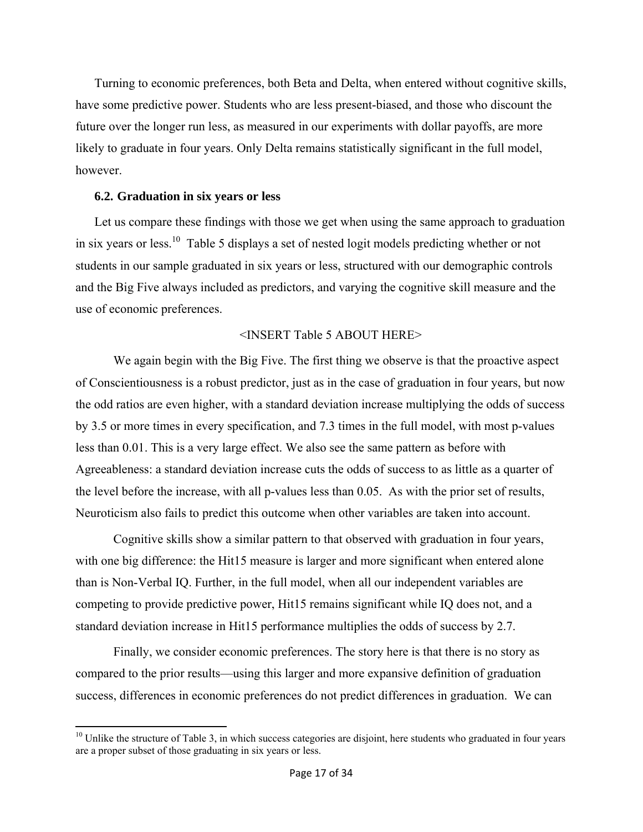Turning to economic preferences, both Beta and Delta, when entered without cognitive skills, have some predictive power. Students who are less present-biased, and those who discount the future over the longer run less, as measured in our experiments with dollar payoffs, are more likely to graduate in four years. Only Delta remains statistically significant in the full model, however.

### **6.2. Graduation in six years or less**

Let us compare these findings with those we get when using the same approach to graduation in six years or less.<sup>10</sup> Table 5 displays a set of nested logit models predicting whether or not students in our sample graduated in six years or less, structured with our demographic controls and the Big Five always included as predictors, and varying the cognitive skill measure and the use of economic preferences.

### <INSERT Table 5 ABOUT HERE>

 We again begin with the Big Five. The first thing we observe is that the proactive aspect of Conscientiousness is a robust predictor, just as in the case of graduation in four years, but now the odd ratios are even higher, with a standard deviation increase multiplying the odds of success by 3.5 or more times in every specification, and 7.3 times in the full model, with most p-values less than 0.01. This is a very large effect. We also see the same pattern as before with Agreeableness: a standard deviation increase cuts the odds of success to as little as a quarter of the level before the increase, with all p-values less than 0.05. As with the prior set of results, Neuroticism also fails to predict this outcome when other variables are taken into account.

 Cognitive skills show a similar pattern to that observed with graduation in four years, with one big difference: the Hit15 measure is larger and more significant when entered alone than is Non-Verbal IQ. Further, in the full model, when all our independent variables are competing to provide predictive power, Hit15 remains significant while IQ does not, and a standard deviation increase in Hit15 performance multiplies the odds of success by 2.7.

 Finally, we consider economic preferences. The story here is that there is no story as compared to the prior results—using this larger and more expansive definition of graduation success, differences in economic preferences do not predict differences in graduation. We can

 $10$  Unlike the structure of Table 3, in which success categories are disjoint, here students who graduated in four years are a proper subset of those graduating in six years or less.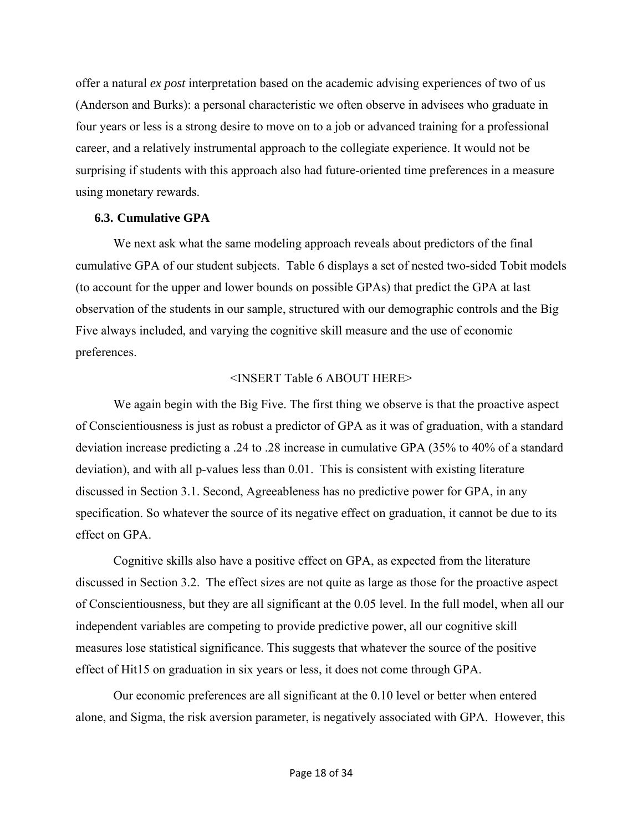offer a natural *ex post* interpretation based on the academic advising experiences of two of us (Anderson and Burks): a personal characteristic we often observe in advisees who graduate in four years or less is a strong desire to move on to a job or advanced training for a professional career, and a relatively instrumental approach to the collegiate experience. It would not be surprising if students with this approach also had future-oriented time preferences in a measure using monetary rewards.

#### **6.3. Cumulative GPA**

 We next ask what the same modeling approach reveals about predictors of the final cumulative GPA of our student subjects. Table 6 displays a set of nested two-sided Tobit models (to account for the upper and lower bounds on possible GPAs) that predict the GPA at last observation of the students in our sample, structured with our demographic controls and the Big Five always included, and varying the cognitive skill measure and the use of economic preferences.

### <INSERT Table 6 ABOUT HERE>

We again begin with the Big Five. The first thing we observe is that the proactive aspect of Conscientiousness is just as robust a predictor of GPA as it was of graduation, with a standard deviation increase predicting a .24 to .28 increase in cumulative GPA (35% to 40% of a standard deviation), and with all p-values less than 0.01. This is consistent with existing literature discussed in Section 3.1. Second, Agreeableness has no predictive power for GPA, in any specification. So whatever the source of its negative effect on graduation, it cannot be due to its effect on GPA.

 Cognitive skills also have a positive effect on GPA, as expected from the literature discussed in Section 3.2. The effect sizes are not quite as large as those for the proactive aspect of Conscientiousness, but they are all significant at the 0.05 level. In the full model, when all our independent variables are competing to provide predictive power, all our cognitive skill measures lose statistical significance. This suggests that whatever the source of the positive effect of Hit15 on graduation in six years or less, it does not come through GPA.

 Our economic preferences are all significant at the 0.10 level or better when entered alone, and Sigma, the risk aversion parameter, is negatively associated with GPA. However, this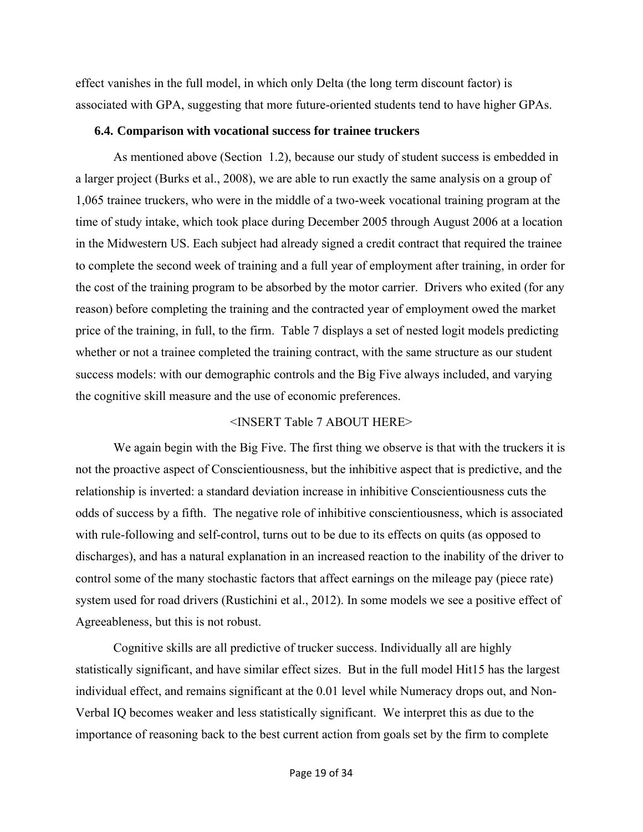effect vanishes in the full model, in which only Delta (the long term discount factor) is associated with GPA, suggesting that more future-oriented students tend to have higher GPAs.

#### **6.4. Comparison with vocational success for trainee truckers**

 As mentioned above (Section 1.2), because our study of student success is embedded in a larger project (Burks et al., 2008), we are able to run exactly the same analysis on a group of 1,065 trainee truckers, who were in the middle of a two-week vocational training program at the time of study intake, which took place during December 2005 through August 2006 at a location in the Midwestern US. Each subject had already signed a credit contract that required the trainee to complete the second week of training and a full year of employment after training, in order for the cost of the training program to be absorbed by the motor carrier. Drivers who exited (for any reason) before completing the training and the contracted year of employment owed the market price of the training, in full, to the firm. Table 7 displays a set of nested logit models predicting whether or not a trainee completed the training contract, with the same structure as our student success models: with our demographic controls and the Big Five always included, and varying the cognitive skill measure and the use of economic preferences.

### <INSERT Table 7 ABOUT HERE>

 We again begin with the Big Five. The first thing we observe is that with the truckers it is not the proactive aspect of Conscientiousness, but the inhibitive aspect that is predictive, and the relationship is inverted: a standard deviation increase in inhibitive Conscientiousness cuts the odds of success by a fifth. The negative role of inhibitive conscientiousness, which is associated with rule-following and self-control, turns out to be due to its effects on quits (as opposed to discharges), and has a natural explanation in an increased reaction to the inability of the driver to control some of the many stochastic factors that affect earnings on the mileage pay (piece rate) system used for road drivers (Rustichini et al., 2012). In some models we see a positive effect of Agreeableness, but this is not robust.

 Cognitive skills are all predictive of trucker success. Individually all are highly statistically significant, and have similar effect sizes. But in the full model Hit15 has the largest individual effect, and remains significant at the 0.01 level while Numeracy drops out, and Non-Verbal IQ becomes weaker and less statistically significant. We interpret this as due to the importance of reasoning back to the best current action from goals set by the firm to complete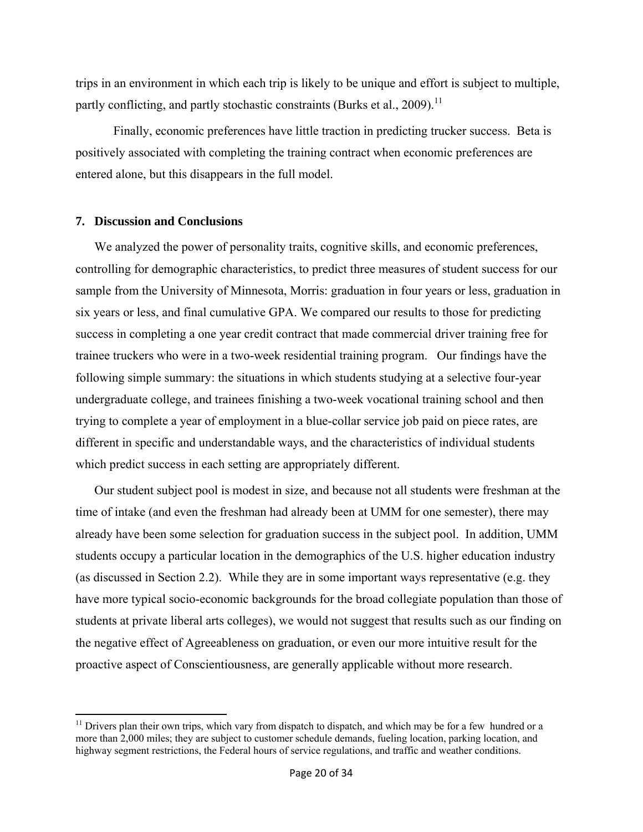trips in an environment in which each trip is likely to be unique and effort is subject to multiple, partly conflicting, and partly stochastic constraints (Burks et al., 2009).<sup>11</sup>

 Finally, economic preferences have little traction in predicting trucker success. Beta is positively associated with completing the training contract when economic preferences are entered alone, but this disappears in the full model.

#### **7. Discussion and Conclusions**

We analyzed the power of personality traits, cognitive skills, and economic preferences, controlling for demographic characteristics, to predict three measures of student success for our sample from the University of Minnesota, Morris: graduation in four years or less, graduation in six years or less, and final cumulative GPA. We compared our results to those for predicting success in completing a one year credit contract that made commercial driver training free for trainee truckers who were in a two-week residential training program. Our findings have the following simple summary: the situations in which students studying at a selective four-year undergraduate college, and trainees finishing a two-week vocational training school and then trying to complete a year of employment in a blue-collar service job paid on piece rates, are different in specific and understandable ways, and the characteristics of individual students which predict success in each setting are appropriately different.

Our student subject pool is modest in size, and because not all students were freshman at the time of intake (and even the freshman had already been at UMM for one semester), there may already have been some selection for graduation success in the subject pool. In addition, UMM students occupy a particular location in the demographics of the U.S. higher education industry (as discussed in Section 2.2). While they are in some important ways representative (e.g. they have more typical socio-economic backgrounds for the broad collegiate population than those of students at private liberal arts colleges), we would not suggest that results such as our finding on the negative effect of Agreeableness on graduation, or even our more intuitive result for the proactive aspect of Conscientiousness, are generally applicable without more research.

 $11$  Drivers plan their own trips, which vary from dispatch to dispatch, and which may be for a few hundred or a more than 2,000 miles; they are subject to customer schedule demands, fueling location, parking location, and highway segment restrictions, the Federal hours of service regulations, and traffic and weather conditions.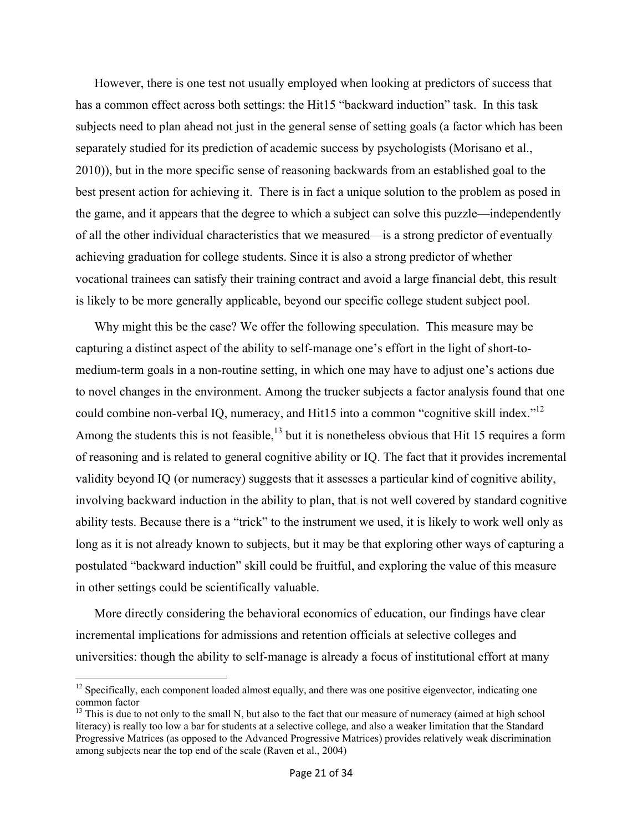However, there is one test not usually employed when looking at predictors of success that has a common effect across both settings: the Hit15 "backward induction" task. In this task subjects need to plan ahead not just in the general sense of setting goals (a factor which has been separately studied for its prediction of academic success by psychologists (Morisano et al., 2010)), but in the more specific sense of reasoning backwards from an established goal to the best present action for achieving it. There is in fact a unique solution to the problem as posed in the game, and it appears that the degree to which a subject can solve this puzzle—independently of all the other individual characteristics that we measured—is a strong predictor of eventually achieving graduation for college students. Since it is also a strong predictor of whether vocational trainees can satisfy their training contract and avoid a large financial debt, this result is likely to be more generally applicable, beyond our specific college student subject pool.

Why might this be the case? We offer the following speculation. This measure may be capturing a distinct aspect of the ability to self-manage one's effort in the light of short-tomedium-term goals in a non-routine setting, in which one may have to adjust one's actions due to novel changes in the environment. Among the trucker subjects a factor analysis found that one could combine non-verbal IQ, numeracy, and Hit15 into a common "cognitive skill index."<sup>12</sup> Among the students this is not feasible,<sup>13</sup> but it is nonetheless obvious that Hit 15 requires a form of reasoning and is related to general cognitive ability or IQ. The fact that it provides incremental validity beyond IQ (or numeracy) suggests that it assesses a particular kind of cognitive ability, involving backward induction in the ability to plan, that is not well covered by standard cognitive ability tests. Because there is a "trick" to the instrument we used, it is likely to work well only as long as it is not already known to subjects, but it may be that exploring other ways of capturing a postulated "backward induction" skill could be fruitful, and exploring the value of this measure in other settings could be scientifically valuable.

More directly considering the behavioral economics of education, our findings have clear incremental implications for admissions and retention officials at selective colleges and universities: though the ability to self-manage is already a focus of institutional effort at many

<sup>&</sup>lt;sup>12</sup> Specifically, each component loaded almost equally, and there was one positive eigenvector, indicating one common factor

 $<sup>13</sup>$  This is due to not only to the small N, but also to the fact that our measure of numeracy (aimed at high school</sup> literacy) is really too low a bar for students at a selective college, and also a weaker limitation that the Standard Progressive Matrices (as opposed to the Advanced Progressive Matrices) provides relatively weak discrimination among subjects near the top end of the scale (Raven et al., 2004)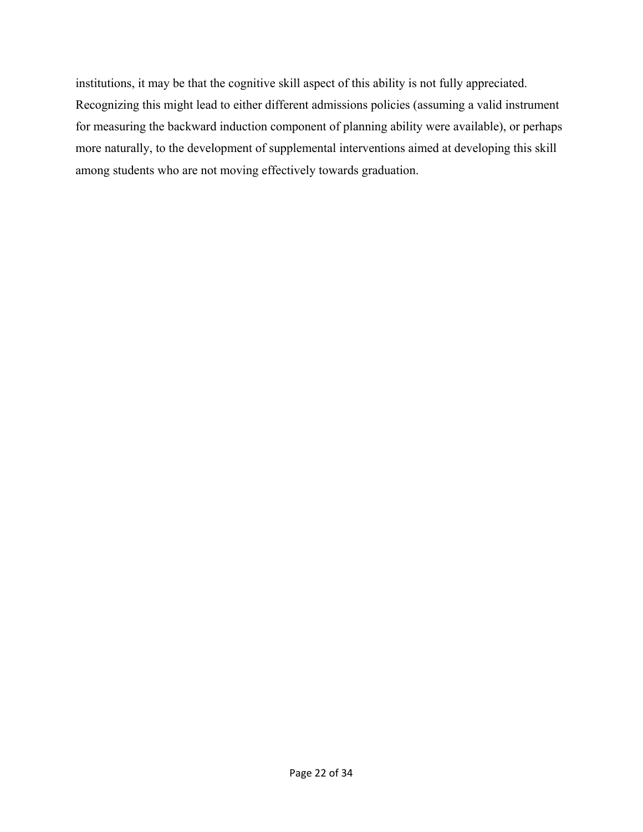institutions, it may be that the cognitive skill aspect of this ability is not fully appreciated. Recognizing this might lead to either different admissions policies (assuming a valid instrument for measuring the backward induction component of planning ability were available), or perhaps more naturally, to the development of supplemental interventions aimed at developing this skill among students who are not moving effectively towards graduation.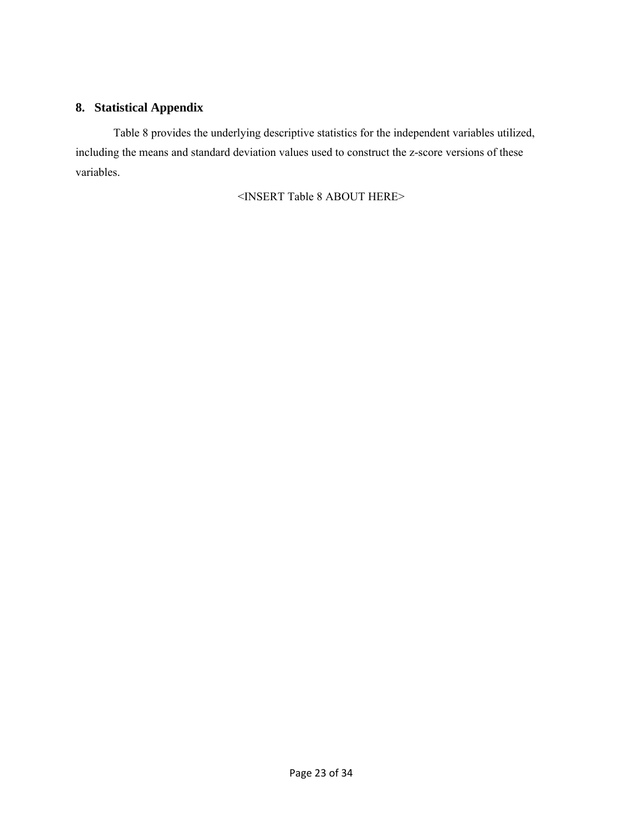## **8. Statistical Appendix**

 Table 8 provides the underlying descriptive statistics for the independent variables utilized, including the means and standard deviation values used to construct the z-score versions of these variables.

<INSERT Table 8 ABOUT HERE>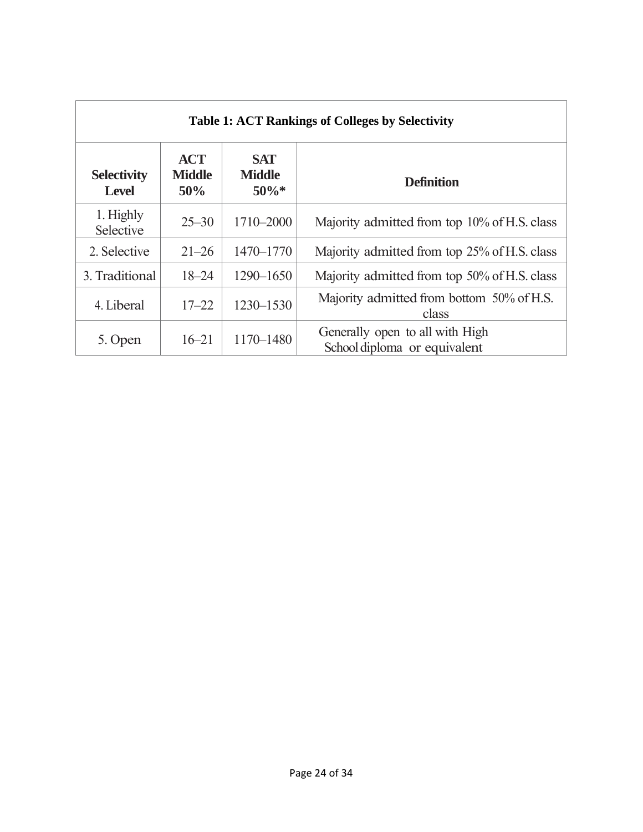| <b>Table 1: ACT Rankings of Colleges by Selectivity</b> |                                    |                                        |                                                                 |  |  |  |  |  |
|---------------------------------------------------------|------------------------------------|----------------------------------------|-----------------------------------------------------------------|--|--|--|--|--|
| <b>Selectivity</b><br><b>Level</b>                      | <b>ACT</b><br><b>Middle</b><br>50% | <b>SAT</b><br><b>Middle</b><br>$50\%*$ | <b>Definition</b>                                               |  |  |  |  |  |
| 1. Highly<br>Selective                                  | $25 - 30$                          | 1710-2000                              | Majority admitted from top 10% of H.S. class                    |  |  |  |  |  |
| 2. Selective                                            | $21 - 26$                          | $1470 - 1770$                          | Majority admitted from top 25% of H.S. class                    |  |  |  |  |  |
| 3. Traditional                                          | $18 - 24$                          | $1290 - 1650$                          | Majority admitted from top 50% of H.S. class                    |  |  |  |  |  |
| 4. Liberal                                              | $17 - 22$                          | 1230-1530                              | Majority admitted from bottom 50% of H.S.<br>class              |  |  |  |  |  |
| 5. Open                                                 | $16 - 21$                          | 1170-1480                              | Generally open to all with High<br>School diploma or equivalent |  |  |  |  |  |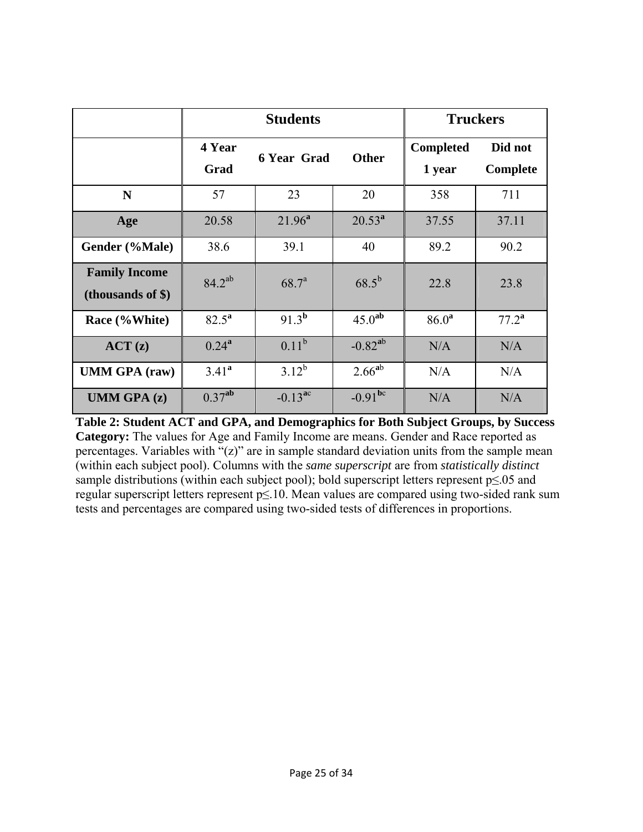|                                              |                    | <b>Students</b>                    | <b>Truckers</b>    |                            |                     |  |
|----------------------------------------------|--------------------|------------------------------------|--------------------|----------------------------|---------------------|--|
|                                              | 4 Year<br>Grad     | <b>Other</b><br><b>6 Year Grad</b> |                    | <b>Completed</b><br>1 year | Did not<br>Complete |  |
| N                                            | 57                 | 23                                 | 20                 | 358                        | 711                 |  |
| Age                                          | 20.58              | $21.96^a$                          | $20.53^{a}$        | 37.55                      | 37.11               |  |
| Gender (%Male)                               | 38.6               | 39.1                               | 40                 | 89.2                       | 90.2                |  |
| <b>Family Income</b><br>(thousands of $\$$ ) | $84.2^{ab}$        | $68.7^{a}$                         | $68.5^{b}$         | 22.8                       | 23.8                |  |
| Race (%White)                                | $82.5^{\rm a}$     | $91.3^{b}$                         | 45.0 <sup>ab</sup> | 86.0 <sup>a</sup>          | $77.2^{\rm a}$      |  |
| ACT(z)                                       | $0.24^{a}$         | $0.11^{b}$                         | $-0.82^{ab}$       | N/A                        | N/A                 |  |
| <b>UMM GPA</b> (raw)                         | $3.41^a$           | $3.12^{b}$                         | $2.66^{ab}$        | N/A                        | N/A                 |  |
| <b>UMM GPA (z)</b>                           | 0.37 <sup>ab</sup> | $-0.13^{ac}$                       | $-0.91^{bc}$       | N/A                        | N/A                 |  |

**Table 2: Student ACT and GPA, and Demographics for Both Subject Groups, by Success Category:** The values for Age and Family Income are means. Gender and Race reported as percentages. Variables with "(z)" are in sample standard deviation units from the sample mean (within each subject pool). Columns with the *same superscript* are from *statistically distinct* sample distributions (within each subject pool); bold superscript letters represent p≤.05 and regular superscript letters represent p≤.10. Mean values are compared using two-sided rank sum tests and percentages are compared using two-sided tests of differences in proportions.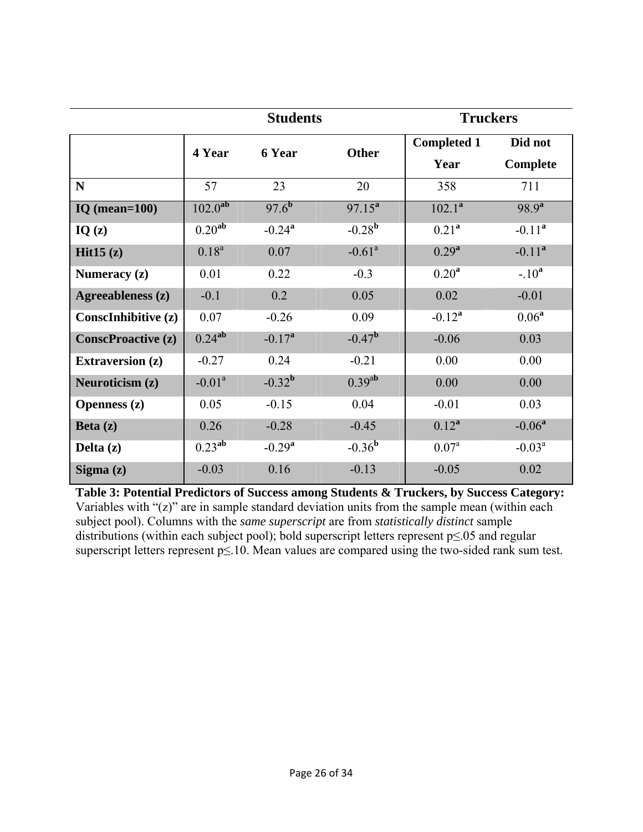|                            |                    | <b>Students</b>      |                      | <b>Truckers</b>    |            |
|----------------------------|--------------------|----------------------|----------------------|--------------------|------------|
|                            | 4 Year             | 6 Year               | <b>Other</b>         | <b>Completed 1</b> | Did not    |
|                            |                    |                      |                      | Year               | Complete   |
| N                          | 57                 | 23                   | 20                   | 358                | 711        |
| IQ (mean= $100$ )          | $102.0^{ab}$       | $97.6^{b}$           | $97.15^a$            | $102.1^a$          | $98.9^{a}$ |
| IQ(z)                      | 0.20 <sup>ab</sup> | $-0.24$ <sup>a</sup> | $-0.28^{b}$          | 0.21 <sup>a</sup>  | $-0.11^a$  |
| Hit $15(z)$                | $0.18^{a}$         | 0.07                 | $-0.61$ <sup>a</sup> | $0.29^{a}$         | $-0.11^a$  |
| Numeracy $(z)$             | 0.01               | 0.22                 | $-0.3$               | 0.20 <sup>a</sup>  | $-.10a$    |
| Agreeableness (z)          | $-0.1$             | 0.2                  | 0.05                 | 0.02               | $-0.01$    |
| <b>Conscinhibitive (z)</b> | 0.07               | $-0.26$              | 0.09                 | $-0.12^{a}$        | $0.06^a$   |
| <b>ConscProactive (z)</b>  | 0.24 <sup>ab</sup> | $-0.17^{\rm a}$      | $-0.47^{\rm b}$      | $-0.06$            | 0.03       |
| <b>Extraversion</b> (z)    | $-0.27$            | 0.24                 | $-0.21$              | 0.00               | 0.00       |
| Neuroticism (z)            | $-0.01a$           | $-0.32^{b}$          | $0.39^{ab}$          | 0.00               | 0.00       |
| <b>Openness</b> (z)        | 0.05               | $-0.15$              | 0.04                 | $-0.01$            | 0.03       |
| Beta $(z)$                 | 0.26               | $-0.28$              | $-0.45$              | $0.12^a$           | $-0.06a$   |
| Delta (z)                  | $0.23^{ab}$        | $-0.29^{\rm a}$      | $-0.36^{b}$          | 0.07 <sup>a</sup>  | $-0.03^a$  |
| Sigma $(z)$                | $-0.03$            | 0.16                 | $-0.13$              | $-0.05$            | 0.02       |

**Table 3: Potential Predictors of Success among Students & Truckers, by Success Category:** Variables with "(z)" are in sample standard deviation units from the sample mean (within each subject pool). Columns with the *same superscript* are from *statistically distinct* sample distributions (within each subject pool); bold superscript letters represent p≤.05 and regular superscript letters represent p≤.10. Mean values are compared using the two-sided rank sum test.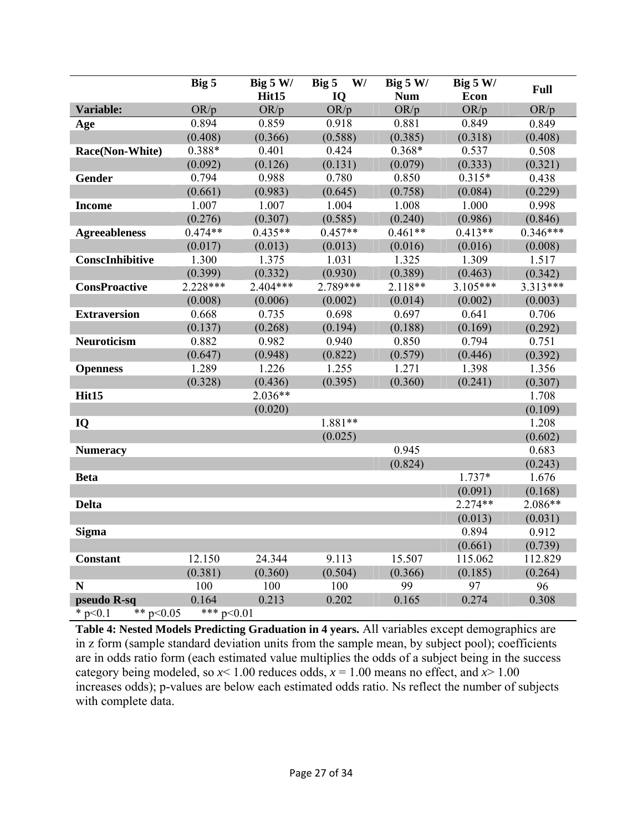|                                            | Big 5      | Big $5 W/$<br>Hit15 | Big 5<br>W/<br>IQ  | Big $5 W/$<br><b>Num</b> | Big $5 W/$<br>Econ | <b>Full</b> |  |  |  |
|--------------------------------------------|------------|---------------------|--------------------|--------------------------|--------------------|-------------|--|--|--|
| Variable:                                  | OR/p       | OR/p                | OR/p               | OR/p                     | OR/p               | OR/p        |  |  |  |
| Age                                        | 0.894      | 0.859               | 0.918              | 0.881                    | 0.849              | 0.849       |  |  |  |
|                                            | (0.408)    | (0.366)             | (0.588)            | (0.385)                  | (0.318)            | (0.408)     |  |  |  |
| Race(Non-White)                            | 0.388*     | 0.401               | 0.424              | $0.368*$                 | 0.537              | 0.508       |  |  |  |
|                                            | (0.092)    | (0.126)             | (0.131)            | (0.079)                  | (0.333)            | (0.321)     |  |  |  |
| Gender                                     | 0.794      | 0.988               | 0.780              | 0.850                    | $0.315*$           | 0.438       |  |  |  |
|                                            | (0.661)    | (0.983)             | (0.645)<br>(0.758) |                          | (0.084)            | (0.229)     |  |  |  |
| <b>Income</b>                              | 1.007      | 1.007               | 1.004              | 1.008                    | 1.000              | 0.998       |  |  |  |
|                                            | (0.276)    | (0.307)             | (0.585)            | (0.240)                  | (0.986)            | (0.846)     |  |  |  |
| <b>Agreeableness</b>                       | $0.474**$  | $0.435**$           | $0.457**$          | $0.461**$                | $0.413**$          | $0.346***$  |  |  |  |
|                                            | (0.017)    | (0.013)             | (0.013)            | (0.016)                  | (0.016)            | (0.008)     |  |  |  |
| ConscInhibitive                            | 1.300      | 1.375               | 1.031              | 1.325                    | 1.309              | 1.517       |  |  |  |
|                                            | (0.399)    | (0.332)             | (0.930)            | (0.389)                  | (0.463)            | (0.342)     |  |  |  |
| <b>ConsProactive</b>                       | $2.228***$ | $2.404***$          | 2.789***           | $2.118**$                | $3.105***$         | 3.313***    |  |  |  |
|                                            | (0.008)    | (0.006)             | (0.002)            | (0.014)                  | (0.002)            | (0.003)     |  |  |  |
| <b>Extraversion</b>                        | 0.668      | 0.735               | 0.698              | 0.697                    | 0.641              | 0.706       |  |  |  |
|                                            | (0.137)    | (0.268)             | (0.194)            | (0.188)                  | (0.169)            | (0.292)     |  |  |  |
| <b>Neuroticism</b>                         | 0.882      | 0.982               | 0.940              | 0.850                    | 0.794              | 0.751       |  |  |  |
|                                            | (0.647)    | (0.948)             | (0.822)            | (0.579)                  | (0.446)            | (0.392)     |  |  |  |
| <b>Openness</b>                            | 1.289      | 1.226               | 1.255              | 1.271                    | 1.398              | 1.356       |  |  |  |
|                                            | (0.328)    | (0.436)             | (0.395)            | (0.360)                  | (0.241)            | (0.307)     |  |  |  |
| Hit15                                      |            | $2.036**$           |                    |                          |                    | 1.708       |  |  |  |
|                                            |            | (0.020)             |                    |                          |                    | (0.109)     |  |  |  |
| IQ                                         |            |                     | 1.881**            |                          |                    | 1.208       |  |  |  |
|                                            |            |                     | (0.025)            |                          |                    | (0.602)     |  |  |  |
| <b>Numeracy</b>                            |            |                     |                    | 0.945                    |                    | 0.683       |  |  |  |
|                                            |            |                     |                    | (0.824)                  |                    | (0.243)     |  |  |  |
| <b>Beta</b>                                |            |                     |                    |                          | $1.737*$           | 1.676       |  |  |  |
|                                            |            |                     |                    |                          | (0.091)            | (0.168)     |  |  |  |
| <b>Delta</b>                               |            |                     |                    |                          | $2.274**$          | 2.086**     |  |  |  |
|                                            |            |                     |                    |                          | (0.013)            | (0.031)     |  |  |  |
| <b>Sigma</b>                               |            |                     |                    |                          | 0.894              | 0.912       |  |  |  |
|                                            |            |                     |                    |                          | (0.661)            | (0.739)     |  |  |  |
| <b>Constant</b>                            | 12.150     | 24.344              | 9.113              | 15.507                   | 115.062            | 112.829     |  |  |  |
|                                            | (0.381)    | (0.360)             | (0.504)            | (0.366)                  | (0.185)            | (0.264)     |  |  |  |
| N                                          | 100        | 100                 | 100                | 99                       | 97                 | 96          |  |  |  |
| pseudo R-sq                                | 0.164      | 0.213               | 0.202              | 0.165                    | 0.274              | 0.308       |  |  |  |
| *** $p<0.01$<br>$*$ p < 0.1<br>** $p<0.05$ |            |                     |                    |                          |                    |             |  |  |  |

**Table 4: Nested Models Predicting Graduation in 4 years.** All variables except demographics are in z form (sample standard deviation units from the sample mean, by subject pool); coefficients are in odds ratio form (each estimated value multiplies the odds of a subject being in the success category being modeled, so  $x$  < 1.00 reduces odds,  $x$  = 1.00 means no effect, and  $x$  > 1.00 increases odds); p-values are below each estimated odds ratio. Ns reflect the number of subjects with complete data.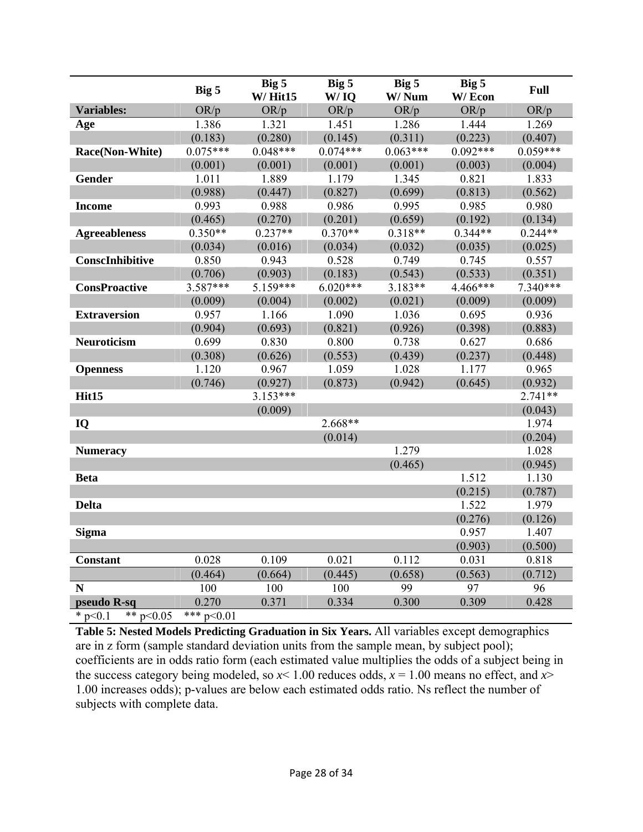|                          | Big 5        | Big 5<br>$W/$ Hit $15$ | Big 5<br>W/IO      | Big 5<br>W/Num | Big 5<br>W/Econ | Full       |  |  |
|--------------------------|--------------|------------------------|--------------------|----------------|-----------------|------------|--|--|
| <b>Variables:</b>        | OR/p         | OR/p                   | OR/p               | OR/p           | OR/p            | OR/p       |  |  |
| Age                      | 1.386        | 1.321                  | 1.451              | 1.286          | 1.444           | 1.269      |  |  |
|                          | (0.183)      | (0.280)                | (0.145)            | (0.311)        | (0.223)         | (0.407)    |  |  |
| Race(Non-White)          | $0.075***$   | $0.048***$             | $0.074***$         | $0.063***$     | $0.092***$      | $0.059***$ |  |  |
|                          | (0.001)      | (0.001)                | (0.001)            | (0.001)        | (0.003)         | (0.004)    |  |  |
| Gender                   | 1.011        | 1.889                  | 1.179              | 1.345          | 0.821           | 1.833      |  |  |
|                          | (0.988)      | (0.447)                | (0.827)            | (0.699)        | (0.813)         | (0.562)    |  |  |
| <b>Income</b>            | 0.993        | 0.988                  | 0.986              | 0.995          | 0.985           | 0.980      |  |  |
|                          | (0.465)      | (0.270)                | (0.201)<br>(0.659) |                | (0.192)         | (0.134)    |  |  |
| <b>Agreeableness</b>     | $0.350**$    | $0.237**$              | $0.370**$          | $0.318**$      | $0.344**$       | $0.244**$  |  |  |
|                          | (0.034)      | (0.016)                | (0.034)            | (0.032)        | (0.035)         | (0.025)    |  |  |
| ConscInhibitive          | 0.850        | 0.943                  | 0.528              | 0.749          | 0.745           | 0.557      |  |  |
|                          | (0.706)      | (0.903)                | (0.183)            | (0.543)        | (0.533)         | (0.351)    |  |  |
| <b>ConsProactive</b>     | $3.587***$   | 5.159***               | $6.020***$         | $3.183**$      | 4.466***        | $7.340***$ |  |  |
|                          | (0.009)      | (0.004)                | (0.002)            | (0.021)        | (0.009)         | (0.009)    |  |  |
| <b>Extraversion</b>      | 0.957        | 1.166                  | 1.090              | 1.036          | 0.695           | 0.936      |  |  |
|                          | (0.904)      | (0.693)                | (0.821)            | (0.926)        | (0.398)         | (0.883)    |  |  |
| Neuroticism              | 0.699        | 0.830                  | 0.800              | 0.738          | 0.627           | 0.686      |  |  |
|                          | (0.308)      | (0.626)                | (0.553)            | (0.439)        | (0.237)         | (0.448)    |  |  |
| <b>Openness</b>          | 1.120        | 0.967                  | 1.059              | 1.028          | 1.177           | 0.965      |  |  |
|                          | (0.746)      | (0.927)                | (0.873)            | (0.942)        | (0.645)         | (0.932)    |  |  |
| Hit15                    |              | $3.153***$             |                    |                |                 | $2.741**$  |  |  |
|                          |              | (0.009)                |                    |                |                 | (0.043)    |  |  |
| IQ                       |              |                        | $2.668**$          |                |                 | 1.974      |  |  |
|                          |              |                        | (0.014)            |                |                 | (0.204)    |  |  |
| <b>Numeracy</b>          |              |                        |                    | 1.279          |                 | 1.028      |  |  |
|                          |              |                        |                    | (0.465)        |                 | (0.945)    |  |  |
| <b>Beta</b>              |              |                        |                    |                | 1.512           | 1.130      |  |  |
|                          |              |                        |                    |                | (0.215)         | (0.787)    |  |  |
| <b>Delta</b>             |              |                        |                    |                | 1.522           | 1.979      |  |  |
|                          |              |                        |                    |                | (0.276)         | (0.126)    |  |  |
| <b>Sigma</b>             |              |                        |                    |                | 0.957           | 1.407      |  |  |
|                          |              |                        |                    |                | (0.903)         | (0.500)    |  |  |
| <b>Constant</b>          | 0.028        | 0.109                  | 0.021              | 0.112          | 0.031           | 0.818      |  |  |
|                          | (0.464)      | (0.664)                | (0.445)            | (0.658)        | (0.563)         | (0.712)    |  |  |
| N                        | 100          | 100                    | 100                | 99             | 97              | 96         |  |  |
| pseudo R-sq              | 0.270        | 0.371                  | 0.334              | 0.300          | 0.309           | 0.428      |  |  |
| ** $p<0.05$<br>* $p<0.1$ | *** $p<0.01$ |                        |                    |                |                 |            |  |  |

**Table 5: Nested Models Predicting Graduation in Six Years.** All variables except demographics are in z form (sample standard deviation units from the sample mean, by subject pool); coefficients are in odds ratio form (each estimated value multiplies the odds of a subject being in the success category being modeled, so  $x$  < 1.00 reduces odds,  $x$  = 1.00 means no effect, and  $x$ > 1.00 increases odds); p-values are below each estimated odds ratio. Ns reflect the number of subjects with complete data.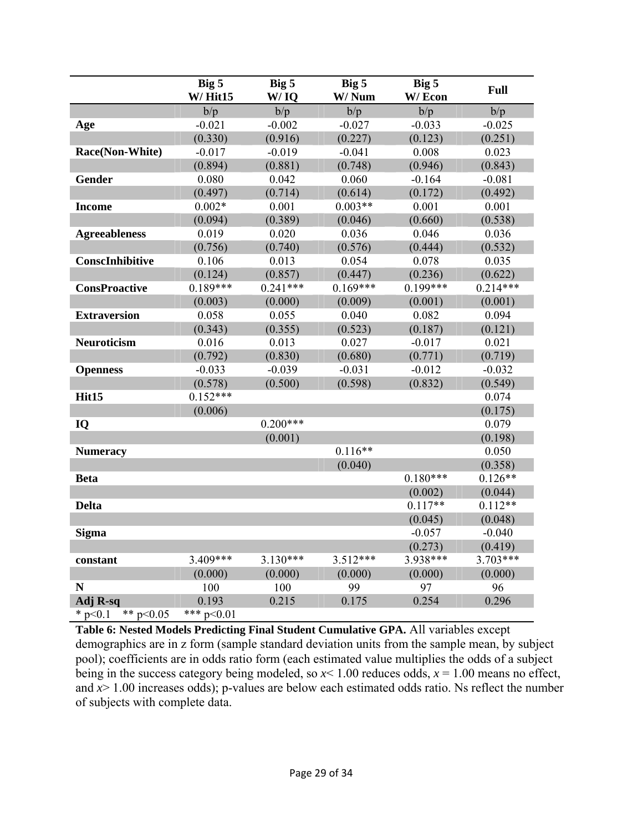|                          | Big 5<br>$W/$ Hit $15$ | Big 5<br>W/IO | Big 5<br>W/Num | Big 5<br>W/Econ | Full       |
|--------------------------|------------------------|---------------|----------------|-----------------|------------|
|                          | b/p                    | b/p           | b/p            | b/p             | b/p        |
| Age                      | $-0.021$               | $-0.002$      | $-0.027$       | $-0.033$        | $-0.025$   |
|                          | (0.330)                | (0.916)       | (0.227)        | (0.123)         | (0.251)    |
| Race(Non-White)          | $-0.017$               | $-0.019$      | $-0.041$       | 0.008           | 0.023      |
|                          | (0.894)                | (0.881)       | (0.748)        | (0.946)         | (0.843)    |
| Gender                   | 0.080                  | 0.042         | 0.060          | $-0.164$        | $-0.081$   |
|                          | (0.497)                | (0.714)       | (0.614)        | (0.172)         | (0.492)    |
| <b>Income</b>            | $0.002*$               | 0.001         | $0.003**$      | 0.001           | 0.001      |
|                          | (0.094)                | (0.389)       | (0.046)        | (0.660)         | (0.538)    |
| <b>Agreeableness</b>     | 0.019                  | 0.020         | 0.036          | 0.046           | 0.036      |
|                          | (0.756)                | (0.740)       | (0.576)        | (0.444)         | (0.532)    |
| ConscInhibitive          | 0.106                  | 0.013         | 0.054          | 0.078           | 0.035      |
|                          | (0.124)                | (0.857)       | (0.447)        | (0.236)         | (0.622)    |
| <b>ConsProactive</b>     | $0.189***$             | $0.241***$    | $0.169***$     | $0.199***$      | $0.214***$ |
|                          | (0.003)                | (0.000)       | (0.009)        | (0.001)         | (0.001)    |
| <b>Extraversion</b>      | 0.058                  | 0.055         | 0.040          | 0.082           | 0.094      |
|                          | (0.343)                | (0.355)       | (0.523)        | (0.187)         | (0.121)    |
| Neuroticism              | 0.016                  | 0.013         | 0.027          | $-0.017$        | 0.021      |
|                          | (0.792)                | (0.830)       | (0.680)        | (0.771)         | (0.719)    |
| <b>Openness</b>          | $-0.033$               | $-0.039$      | $-0.031$       | $-0.012$        | $-0.032$   |
|                          | (0.578)                | (0.500)       | (0.598)        | (0.832)         | (0.549)    |
| Hit15                    | $0.152***$             |               |                |                 | 0.074      |
|                          | (0.006)                |               |                |                 | (0.175)    |
| IQ                       |                        | $0.200***$    |                |                 | 0.079      |
|                          |                        | (0.001)       |                |                 | (0.198)    |
| <b>Numeracy</b>          |                        |               | $0.116**$      |                 | 0.050      |
|                          |                        |               | (0.040)        |                 | (0.358)    |
| <b>Beta</b>              |                        |               |                | $0.180***$      | $0.126**$  |
|                          |                        |               |                | (0.002)         | (0.044)    |
| <b>Delta</b>             |                        |               |                | $0.117**$       | $0.112**$  |
|                          |                        |               |                | (0.045)         | (0.048)    |
| <b>Sigma</b>             |                        |               |                | $-0.057$        | $-0.040$   |
|                          |                        |               |                | (0.273)         | (0.419)    |
| constant                 | 3.409***               | $3.130***$    | $3.512***$     | 3.938***        | 3.703***   |
|                          | (0.000)                | (0.000)       | (0.000)        | (0.000)         | (0.000)    |
| N                        | 100                    | 100           | 99             | 97              | 96         |
| Adj R-sq                 | 0.193                  | 0.215         | 0.175          | 0.254           | 0.296      |
| ** $p<0.05$<br>* $p<0.1$ | *** $p<0.01$           |               |                |                 |            |

**Table 6: Nested Models Predicting Final Student Cumulative GPA.** All variables except demographics are in z form (sample standard deviation units from the sample mean, by subject pool); coefficients are in odds ratio form (each estimated value multiplies the odds of a subject being in the success category being modeled, so  $x$  < 1.00 reduces odds,  $x$  = 1.00 means no effect, and  $x$  is 1.00 increases odds); p-values are below each estimated odds ratio. Ns reflect the number of subjects with complete data.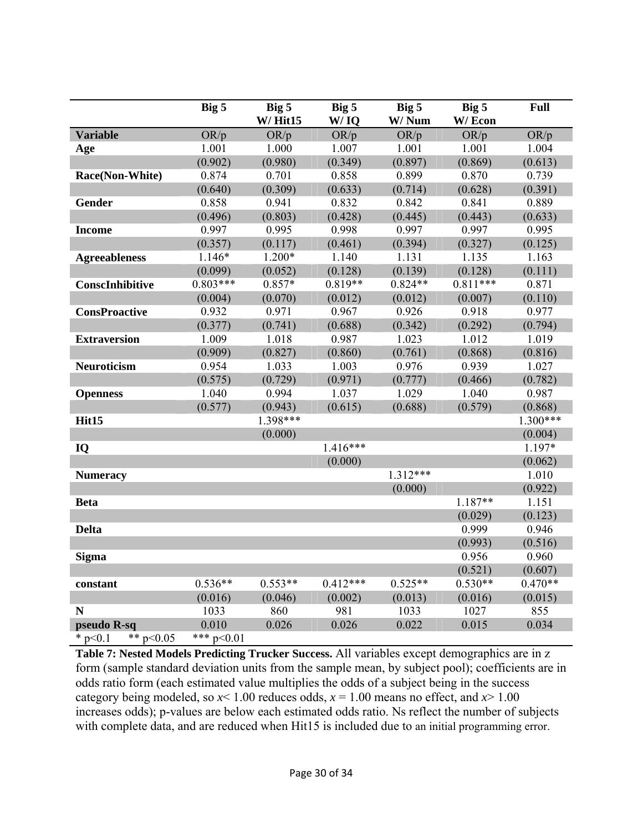|                            | Big 5        | Big 5                 | Big 5        | Big 5         | Big 5          | Full       |  |
|----------------------------|--------------|-----------------------|--------------|---------------|----------------|------------|--|
| <b>Variable</b>            | OR/p         | $W/$ Hit $15$<br>OR/p | W/IQ<br>OR/p | W/Num<br>OR/p | W/Econ<br>OR/p | OR/p       |  |
| Age                        | 1.001        | 1.000                 | 1.007        | 1.001         | 1.001          | 1.004      |  |
|                            | (0.902)      | (0.980)               | (0.349)      | (0.897)       | (0.869)        | (0.613)    |  |
| Race(Non-White)            | 0.874        | 0.701                 | 0.858        | 0.899         | 0.870          | 0.739      |  |
|                            | (0.640)      | (0.309)               | (0.633)      | (0.714)       | (0.628)        | (0.391)    |  |
| Gender                     | 0.858        | 0.941                 | 0.832        | 0.842         | 0.841          | 0.889      |  |
|                            | (0.496)      | (0.803)               | (0.428)      | (0.445)       | (0.443)        | (0.633)    |  |
| <b>Income</b>              | 0.997        | 0.995                 | 0.998        | 0.997         | 0.997          | 0.995      |  |
|                            | (0.357)      | (0.117)               | (0.461)      | (0.394)       | (0.327)        | (0.125)    |  |
| <b>Agreeableness</b>       | 1.146*       | $1.200*$              | 1.140        | 1.131         | 1.135          | 1.163      |  |
|                            | (0.099)      | (0.052)               | (0.128)      | (0.139)       | (0.128)        | (0.111)    |  |
| ConscInhibitive            | $0.803***$   | $0.857*$              | $0.819**$    | $0.824**$     | $0.811***$     | 0.871      |  |
|                            | (0.004)      | (0.070)               | (0.012)      | (0.012)       | (0.007)        | (0.110)    |  |
| <b>ConsProactive</b>       | 0.932        | 0.971                 | 0.967        | 0.926         | 0.918          | 0.977      |  |
|                            | (0.377)      | (0.741)               | (0.688)      | (0.342)       | (0.292)        | (0.794)    |  |
| <b>Extraversion</b>        | 1.009        | 1.018                 | 0.987        | 1.023         | 1.012          | 1.019      |  |
|                            | (0.909)      | (0.827)               | (0.860)      | (0.761)       | (0.868)        | (0.816)    |  |
| Neuroticism                | 0.954        | 1.033                 | 1.003        | 0.976         | 0.939          | 1.027      |  |
|                            | (0.575)      | (0.729)               | (0.971)      | (0.777)       | (0.466)        | (0.782)    |  |
| <b>Openness</b>            | 1.040        | 0.994                 | 1.037        | 1.029         | 1.040          | 0.987      |  |
|                            | (0.577)      | (0.943)               | (0.615)      | (0.688)       | (0.579)        | (0.868)    |  |
| Hit15                      |              | $1.398***$            |              |               |                | $1.300***$ |  |
|                            |              | (0.000)               |              |               |                | (0.004)    |  |
| IQ                         |              |                       | $1.416***$   |               |                | 1.197*     |  |
|                            |              |                       | (0.000)      |               |                | (0.062)    |  |
| <b>Numeracy</b>            |              |                       |              | $1.312***$    |                | 1.010      |  |
|                            |              |                       |              | (0.000)       |                | (0.922)    |  |
| <b>Beta</b>                |              |                       |              |               | $1.187**$      | 1.151      |  |
|                            |              |                       |              |               | (0.029)        | (0.123)    |  |
| <b>Delta</b>               |              |                       |              |               | 0.999          | 0.946      |  |
|                            |              |                       |              |               | (0.993)        | (0.516)    |  |
| <b>Sigma</b>               |              |                       |              |               | 0.956          | 0.960      |  |
|                            |              |                       |              |               | (0.521)        | (0.607)    |  |
| constant                   | $0.536**$    | $0.553**$             | $0.412***$   | $0.525**$     | $0.530**$      | $0.470**$  |  |
|                            | (0.016)      | (0.046)               | (0.002)      | (0.013)       | (0.016)        | (0.015)    |  |
| N                          | 1033         | 860                   | 981          | 1033          | 1027           | 855        |  |
| pseudo R-sq                | 0.010        | 0.026                 | 0.026        | 0.022         | 0.015          | 0.034      |  |
| $*$ p < 0.1<br>** $p<0.05$ | *** $p<0.01$ |                       |              |               |                |            |  |

**Table 7: Nested Models Predicting Trucker Success.** All variables except demographics are in z form (sample standard deviation units from the sample mean, by subject pool); coefficients are in odds ratio form (each estimated value multiplies the odds of a subject being in the success category being modeled, so  $x$  < 1.00 reduces odds,  $x$  = 1.00 means no effect, and  $x$  > 1.00 increases odds); p-values are below each estimated odds ratio. Ns reflect the number of subjects with complete data, and are reduced when Hit15 is included due to an initial programming error.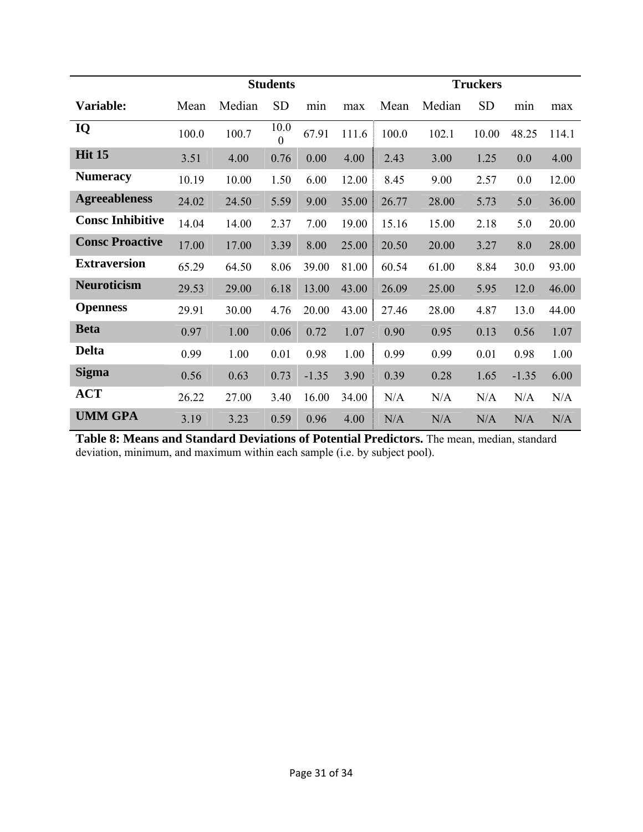|                         | <b>Students</b> |        |                  |         |       | <b>Truckers</b> |        |           |         |       |
|-------------------------|-----------------|--------|------------------|---------|-------|-----------------|--------|-----------|---------|-------|
| Variable:               | Mean            | Median | <b>SD</b>        | min     | max   | Mean            | Median | <b>SD</b> | min     | max   |
| IQ                      | 100.0           | 100.7  | 10.0<br>$\theta$ | 67.91   | 111.6 | 100.0           | 102.1  | 10.00     | 48.25   | 114.1 |
| <b>Hit 15</b>           | 3.51            | 4.00   | 0.76             | 0.00    | 4.00  | 2.43            | 3.00   | 1.25      | 0.0     | 4.00  |
| <b>Numeracy</b>         | 10.19           | 10.00  | 1.50             | 6.00    | 12.00 | 8.45            | 9.00   | 2.57      | 0.0     | 12.00 |
| <b>Agreeableness</b>    | 24.02           | 24.50  | 5.59             | 9.00    | 35.00 | 26.77           | 28.00  | 5.73      | 5.0     | 36.00 |
| <b>Consc Inhibitive</b> | 14.04           | 14.00  | 2.37             | 7.00    | 19.00 | 15.16           | 15.00  | 2.18      | 5.0     | 20.00 |
| <b>Consc Proactive</b>  | 17.00           | 17.00  | 3.39             | 8.00    | 25.00 | 20.50           | 20.00  | 3.27      | 8.0     | 28.00 |
| <b>Extraversion</b>     | 65.29           | 64.50  | 8.06             | 39.00   | 81.00 | 60.54           | 61.00  | 8.84      | 30.0    | 93.00 |
| <b>Neuroticism</b>      | 29.53           | 29.00  | 6.18             | 13.00   | 43.00 | 26.09           | 25.00  | 5.95      | 12.0    | 46.00 |
| <b>Openness</b>         | 29.91           | 30.00  | 4.76             | 20.00   | 43.00 | 27.46           | 28.00  | 4.87      | 13.0    | 44.00 |
| <b>Beta</b>             | 0.97            | 1.00   | 0.06             | 0.72    | 1.07  | 0.90            | 0.95   | 0.13      | 0.56    | 1.07  |
| <b>Delta</b>            | 0.99            | 1.00   | 0.01             | 0.98    | 1.00  | 0.99            | 0.99   | 0.01      | 0.98    | 1.00  |
| <b>Sigma</b>            | 0.56            | 0.63   | 0.73             | $-1.35$ | 3.90  | 0.39            | 0.28   | 1.65      | $-1.35$ | 6.00  |
| <b>ACT</b>              | 26.22           | 27.00  | 3.40             | 16.00   | 34.00 | N/A             | N/A    | N/A       | N/A     | N/A   |
| <b>UMM GPA</b>          | 3.19            | 3.23   | 0.59             | 0.96    | 4.00  | N/A             | N/A    | N/A       | N/A     | N/A   |

**Table 8: Means and Standard Deviations of Potential Predictors.** The mean, median, standard deviation, minimum, and maximum within each sample (i.e. by subject pool).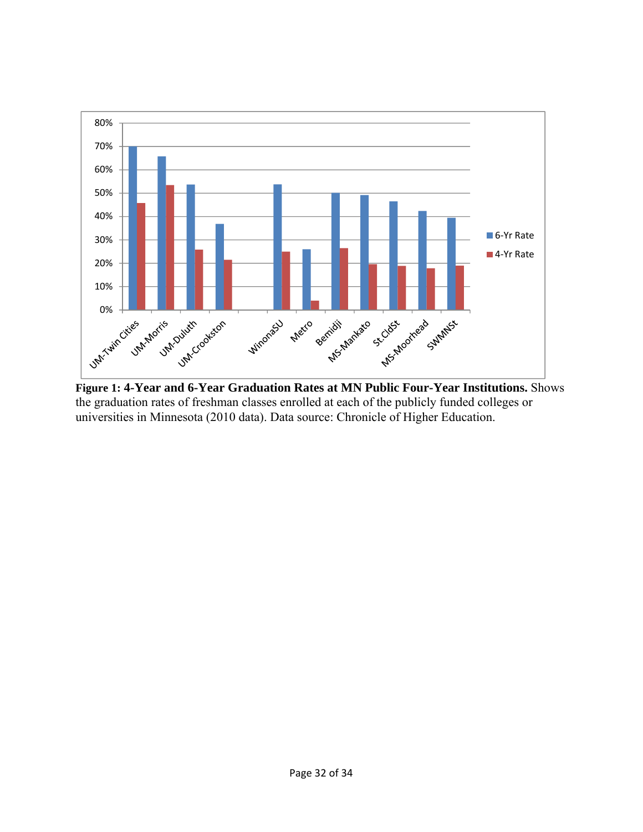

**Figure 1: 4-Year and 6-Year Graduation Rates at MN Public Four-Year Institutions.** Shows the graduation rates of freshman classes enrolled at each of the publicly funded colleges or universities in Minnesota (2010 data). Data source: Chronicle of Higher Education.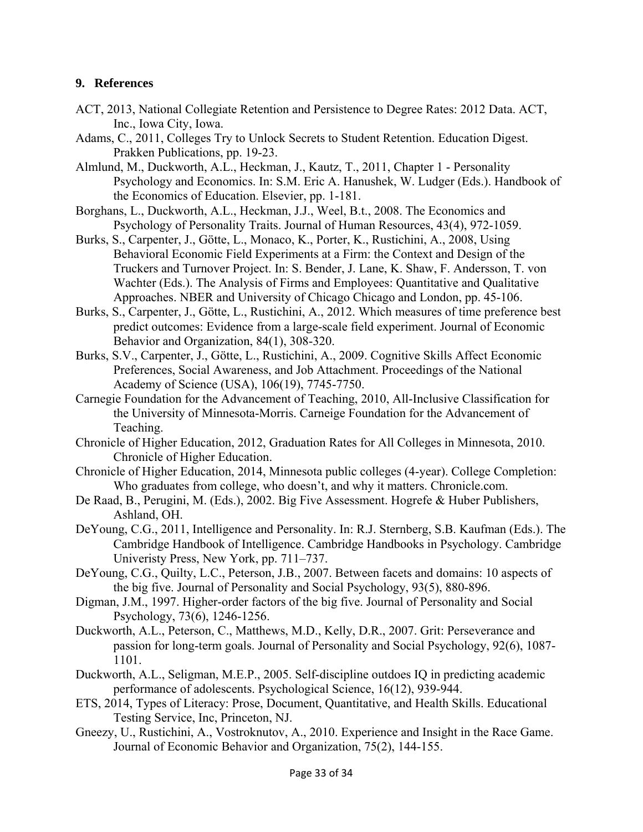### **9. References**

- ACT, 2013, National Collegiate Retention and Persistence to Degree Rates: 2012 Data. ACT, Inc., Iowa City, Iowa.
- Adams, C., 2011, Colleges Try to Unlock Secrets to Student Retention. Education Digest. Prakken Publications, pp. 19-23.
- Almlund, M., Duckworth, A.L., Heckman, J., Kautz, T., 2011, Chapter 1 Personality Psychology and Economics. In: S.M. Eric A. Hanushek, W. Ludger (Eds.). Handbook of the Economics of Education. Elsevier, pp. 1-181.
- Borghans, L., Duckworth, A.L., Heckman, J.J., Weel, B.t., 2008. The Economics and Psychology of Personality Traits. Journal of Human Resources, 43(4), 972-1059.
- Burks, S., Carpenter, J., Götte, L., Monaco, K., Porter, K., Rustichini, A., 2008, Using Behavioral Economic Field Experiments at a Firm: the Context and Design of the Truckers and Turnover Project. In: S. Bender, J. Lane, K. Shaw, F. Andersson, T. von Wachter (Eds.). The Analysis of Firms and Employees: Quantitative and Qualitative Approaches. NBER and University of Chicago Chicago and London, pp. 45-106.
- Burks, S., Carpenter, J., Götte, L., Rustichini, A., 2012. Which measures of time preference best predict outcomes: Evidence from a large-scale field experiment. Journal of Economic Behavior and Organization, 84(1), 308-320.
- Burks, S.V., Carpenter, J., Götte, L., Rustichini, A., 2009. Cognitive Skills Affect Economic Preferences, Social Awareness, and Job Attachment. Proceedings of the National Academy of Science (USA), 106(19), 7745-7750.
- Carnegie Foundation for the Advancement of Teaching, 2010, All-Inclusive Classification for the University of Minnesota-Morris. Carneige Foundation for the Advancement of Teaching.
- Chronicle of Higher Education, 2012, Graduation Rates for All Colleges in Minnesota, 2010. Chronicle of Higher Education.
- Chronicle of Higher Education, 2014, Minnesota public colleges (4-year). College Completion: Who graduates from college, who doesn't, and why it matters. Chronicle.com.
- De Raad, B., Perugini, M. (Eds.), 2002. Big Five Assessment. Hogrefe & Huber Publishers, Ashland, OH.
- DeYoung, C.G., 2011, Intelligence and Personality. In: R.J. Sternberg, S.B. Kaufman (Eds.). The Cambridge Handbook of Intelligence. Cambridge Handbooks in Psychology. Cambridge Univeristy Press, New York, pp. 711–737.
- DeYoung, C.G., Quilty, L.C., Peterson, J.B., 2007. Between facets and domains: 10 aspects of the big five. Journal of Personality and Social Psychology, 93(5), 880-896.
- Digman, J.M., 1997. Higher-order factors of the big five. Journal of Personality and Social Psychology, 73(6), 1246-1256.
- Duckworth, A.L., Peterson, C., Matthews, M.D., Kelly, D.R., 2007. Grit: Perseverance and passion for long-term goals. Journal of Personality and Social Psychology, 92(6), 1087- 1101.
- Duckworth, A.L., Seligman, M.E.P., 2005. Self-discipline outdoes IQ in predicting academic performance of adolescents. Psychological Science, 16(12), 939-944.
- ETS, 2014, Types of Literacy: Prose, Document, Quantitative, and Health Skills. Educational Testing Service, Inc, Princeton, NJ.
- Gneezy, U., Rustichini, A., Vostroknutov, A., 2010. Experience and Insight in the Race Game. Journal of Economic Behavior and Organization, 75(2), 144-155.